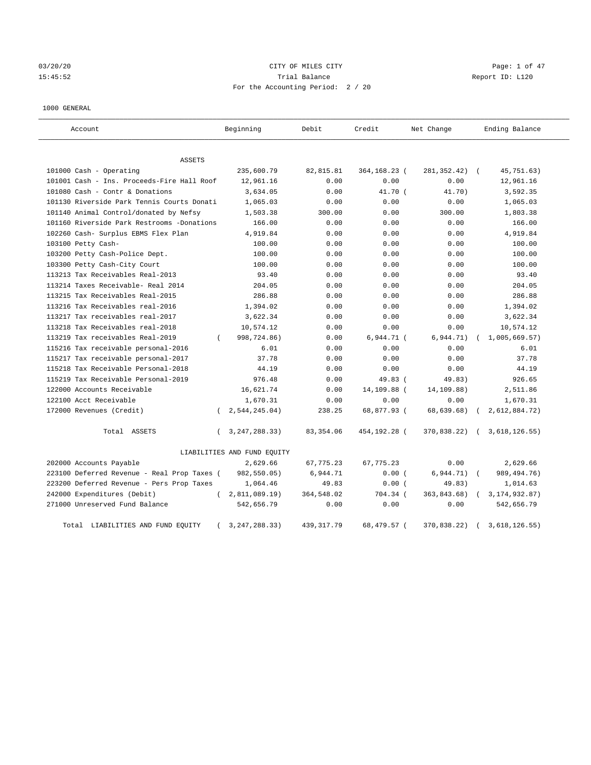03/20/20 **Page: 1 of 47** CITY OF MILES CITY CONTROL Page: 1 of 47 15:45:52 Trial Balance Report ID: L120 For the Accounting Period: 2 / 20

#### 1000 GENERAL

| Account                                     | Beginning                    | Debit       | Credit       | Net Change   | Ending Balance              |
|---------------------------------------------|------------------------------|-------------|--------------|--------------|-----------------------------|
| ASSETS                                      |                              |             |              |              |                             |
| 101000 Cash - Operating                     | 235,600.79                   | 82, 815.81  | 364,168.23 ( | 281, 352.42) | 45,751.63)<br>$\sqrt{2}$    |
| 101001 Cash - Ins. Proceeds-Fire Hall Roof  | 12,961.16                    | 0.00        | 0.00         | 0.00         | 12,961.16                   |
| 101080 Cash - Contr & Donations             | 3,634.05                     | 0.00        | 41.70 (      | 41.70)       | 3,592.35                    |
| 101130 Riverside Park Tennis Courts Donati  | 1,065.03                     | 0.00        | 0.00         | 0.00         | 1,065.03                    |
| 101140 Animal Control/donated by Nefsy      | 1,503.38                     | 300.00      | 0.00         | 300.00       | 1,803.38                    |
| 101160 Riverside Park Restrooms -Donations  | 166.00                       | 0.00        | 0.00         | 0.00         | 166.00                      |
| 102260 Cash- Surplus EBMS Flex Plan         | 4,919.84                     | 0.00        | 0.00         | 0.00         | 4,919.84                    |
| 103100 Petty Cash-                          | 100.00                       | 0.00        | 0.00         | 0.00         | 100.00                      |
| 103200 Petty Cash-Police Dept.              | 100.00                       | 0.00        | 0.00         | 0.00         | 100.00                      |
| 103300 Petty Cash-City Court                | 100.00                       | 0.00        | 0.00         | 0.00         | 100.00                      |
| 113213 Tax Receivables Real-2013            | 93.40                        | 0.00        | 0.00         | 0.00         | 93.40                       |
| 113214 Taxes Receivable- Real 2014          | 204.05                       | 0.00        | 0.00         | 0.00         | 204.05                      |
| 113215 Tax Receivables Real-2015            | 286.88                       | 0.00        | 0.00         | 0.00         | 286.88                      |
| 113216 Tax Receivables real-2016            | 1,394.02                     | 0.00        | 0.00         | 0.00         | 1,394.02                    |
| 113217 Tax receivables real-2017            | 3,622.34                     | 0.00        | 0.00         | 0.00         | 3,622.34                    |
| 113218 Tax Receivables real-2018            | 10,574.12                    | 0.00        | 0.00         | 0.00         | 10,574.12                   |
| 113219 Tax receivables Real-2019            | 998,724.86)<br>$\left($      | 0.00        | 6,944.71 (   | 6,944.71)    | 1,005,669.57)               |
| 115216 Tax receivable personal-2016         | 6.01                         | 0.00        | 0.00         | 0.00         | 6.01                        |
| 115217 Tax receivable personal-2017         | 37.78                        | 0.00        | 0.00         | 0.00         | 37.78                       |
| 115218 Tax Receivable Personal-2018         | 44.19                        | 0.00        | 0.00         | 0.00         | 44.19                       |
| 115219 Tax Receivable Personal-2019         | 976.48                       | 0.00        | 49.83 (      | 49.83)       | 926.65                      |
| 122000 Accounts Receivable                  | 16,621.74                    | 0.00        | 14,109.88 (  | 14,109.88)   | 2,511.86                    |
| 122100 Acct Receivable                      | 1,670.31                     | 0.00        | 0.00         | 0.00         | 1,670.31                    |
| 172000 Revenues (Credit)                    | 2, 544, 245.04)              | 238.25      | 68,877.93 (  | 68,639.68)   | 2,612,884.72)               |
| Total ASSETS                                | 3, 247, 288. 33)<br>$\left($ | 83, 354.06  | 454,192.28 ( | 370,838.22)  | 3,618,126.55)<br>$\sqrt{2}$ |
|                                             | LIABILITIES AND FUND EQUITY  |             |              |              |                             |
| 202000 Accounts Payable                     | 2,629.66                     | 67, 775.23  | 67, 775. 23  | 0.00         | 2,629.66                    |
| 223100 Deferred Revenue - Real Prop Taxes ( | 982,550.05)                  | 6,944.71    | 0.00(        | 6,944.71)    | 989, 494. 76)               |
| 223200 Deferred Revenue - Pers Prop Taxes   | 1,064.46                     | 49.83       | 0.00(        | 49.83)       | 1,014.63                    |
| 242000 Expenditures (Debit)                 | 2,811,089.19)<br>$\left($    | 364,548.02  | 704.34 (     | 363,843.68)  | 3, 174, 932.87)             |
| 271000 Unreserved Fund Balance              | 542,656.79                   | 0.00        | 0.00         | 0.00         | 542,656.79                  |
| Total LIABILITIES AND FUND EQUITY           | 3, 247, 288. 33)             | 439, 317.79 | 68,479.57 (  | 370,838.22)  | 3,618,126.55)               |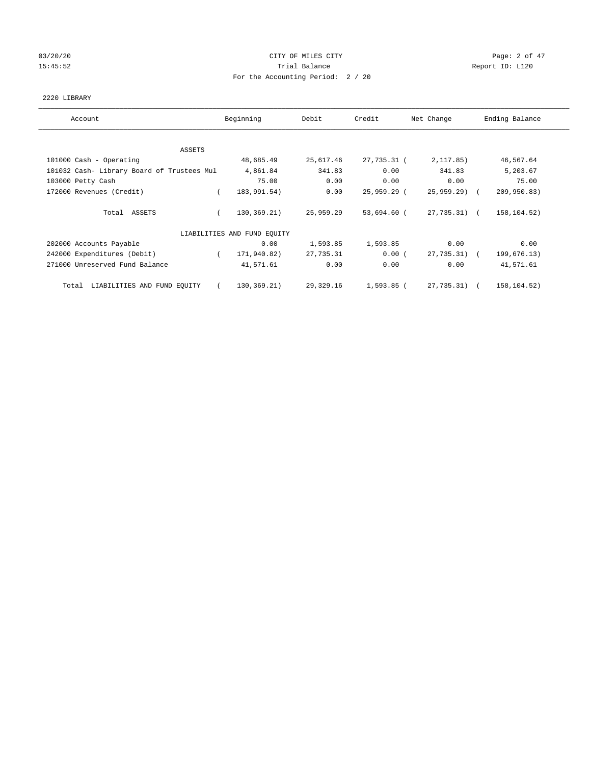# 03/20/20 **Page: 2 of 47** CITY OF MILES CITY CONTROL CONTROL Page: 2 of 47 15:45:52 **Trial Balance Trial Balance Report ID:** L120 For the Accounting Period: 2 / 20

#### 2220 LIBRARY

| Account                                    | Beginning                   | Debit     | Credit      | Net Change    | Ending Balance |
|--------------------------------------------|-----------------------------|-----------|-------------|---------------|----------------|
| ASSETS                                     |                             |           |             |               |                |
| 101000 Cash - Operating                    | 48,685.49                   | 25,617.46 | 27,735.31 ( | 2, 117.85)    | 46,567.64      |
| 101032 Cash- Library Board of Trustees Mul | 4,861.84                    | 341.83    | 0.00        | 341.83        | 5,203.67       |
| 103000 Petty Cash                          | 75.00                       | 0.00      | 0.00        | 0.00          | 75.00          |
| 172000 Revenues (Credit)                   | 183,991.54)<br>$\left($     | 0.00      | 25,959.29 ( | $25,959.29$ ( | 209,950.83)    |
| Total ASSETS                               | 130,369.21)                 | 25,959.29 | 53,694.60 ( | 27,735.31) (  | 158, 104.52)   |
|                                            | LIABILITIES AND FUND EQUITY |           |             |               |                |
| 202000 Accounts Payable                    | 0.00                        | 1,593.85  | 1,593.85    | 0.00          | 0.00           |
| 242000 Expenditures (Debit)                | 171,940.82)                 | 27,735.31 | 0.00(       | 27,735.31) (  | 199,676.13)    |
| 271000 Unreserved Fund Balance             | 41,571.61                   | 0.00      | 0.00        | 0.00          | 41,571.61      |
| LIABILITIES AND FUND EQUITY<br>Total       | 130,369.21)<br>$\left($     | 29,329.16 | 1,593.85 (  | 27,735.31) (  | 158,104.52)    |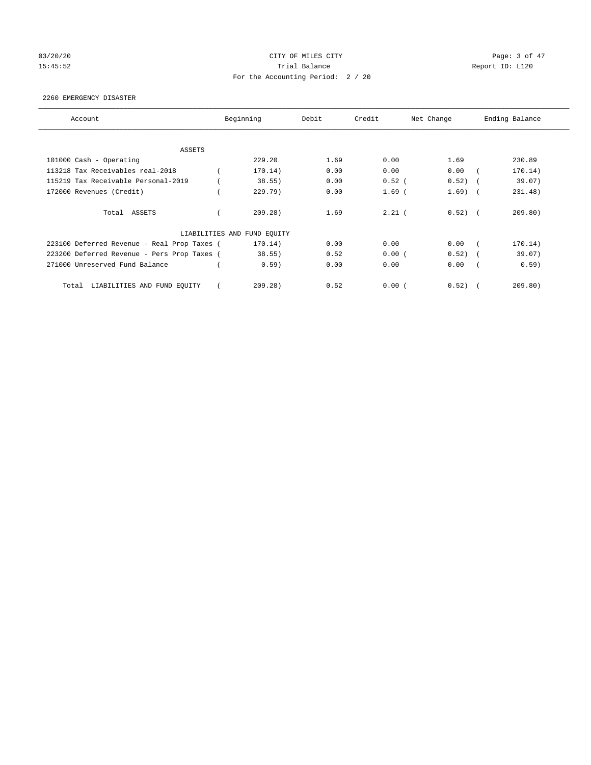# 03/20/20 **Page: 3 of 47** CITY OF MILES CITY CONTROL CONTROL Page: 3 of 47 15:45:52 **Trial Balance Trial Balance Report ID:** L120 For the Accounting Period: 2 / 20

#### 2260 EMERGENCY DISASTER

| Account                                     | Beginning                   | Debit | Credit   | Net Change |        | Ending Balance |
|---------------------------------------------|-----------------------------|-------|----------|------------|--------|----------------|
| <b>ASSETS</b>                               |                             |       |          |            |        |                |
| 101000 Cash - Operating                     | 229.20                      | 1.69  | 0.00     | 1.69       |        | 230.89         |
| 113218 Tax Receivables real-2018            | 170.14)                     | 0.00  | 0.00     | 0.00       |        | 170.14)        |
| 115219 Tax Receivable Personal-2019         | 38.55)                      | 0.00  | $0.52$ ( | 0.52)      |        | 39.07)         |
| 172000 Revenues (Credit)                    | 229.79)                     | 0.00  | $1.69$ ( | 1.69)      | $\sim$ | 231.48)        |
| Total ASSETS                                | 209.28)                     | 1.69  | $2.21$ ( | $0.52)$ (  |        | 209.80)        |
|                                             | LIABILITIES AND FUND EQUITY |       |          |            |        |                |
| 223100 Deferred Revenue - Real Prop Taxes ( | 170.14)                     | 0.00  | 0.00     | 0.00       |        | 170.14)        |
| 223200 Deferred Revenue - Pers Prop Taxes ( | 38.55)                      | 0.52  | 0.00(    | 0.52)      |        | 39.07)         |
| 271000 Unreserved Fund Balance              | 0.59)                       | 0.00  | 0.00     | 0.00       |        | 0.59)          |
| LIABILITIES AND FUND EQUITY<br>Total        | 209.28)                     | 0.52  | 0.00(    | 0.52)      |        | 209.80)        |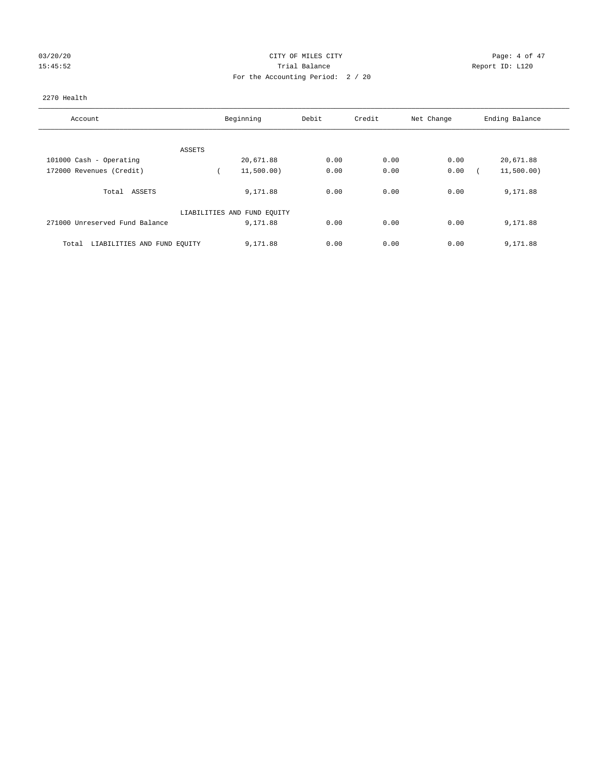# 03/20/20 **Page: 4 of 47** CITY OF MILES CITY CONTROL Page: 4 of 47 15:45:52 Trial Balance Report ID: L120 For the Accounting Period: 2 / 20

#### 2270 Health

| Account                              | Beginning                   | Debit | Credit | Net Change | Ending Balance |
|--------------------------------------|-----------------------------|-------|--------|------------|----------------|
|                                      |                             |       |        |            |                |
| ASSETS                               |                             |       |        |            |                |
| 101000 Cash - Operating              | 20,671.88                   | 0.00  | 0.00   | 0.00       | 20,671.88      |
| 172000 Revenues (Credit)             | 11,500.00)                  | 0.00  | 0.00   | 0.00       | 11,500.00)     |
| Total ASSETS                         | 9,171.88                    | 0.00  | 0.00   | 0.00       | 9,171.88       |
|                                      | LIABILITIES AND FUND EQUITY |       |        |            |                |
| 271000 Unreserved Fund Balance       | 9,171.88                    | 0.00  | 0.00   | 0.00       | 9,171.88       |
| LIABILITIES AND FUND EQUITY<br>Total | 9,171.88                    | 0.00  | 0.00   | 0.00       | 9,171.88       |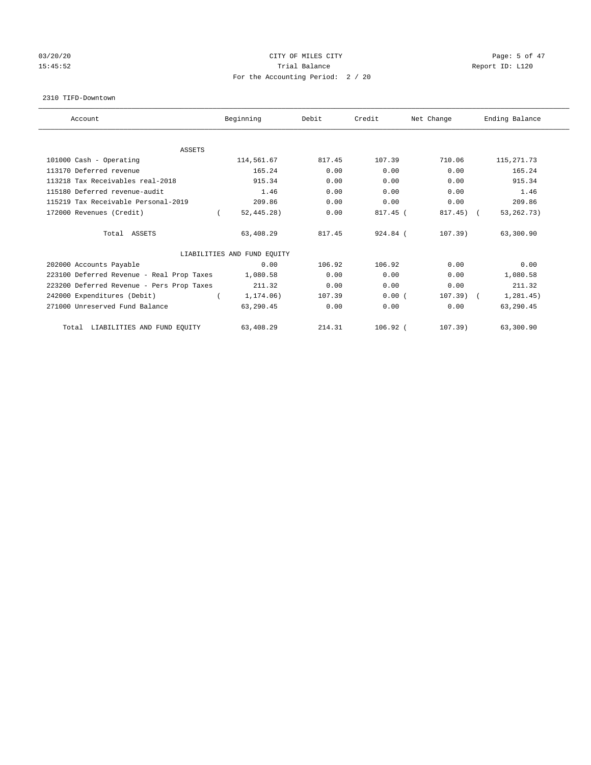# 03/20/20 **Page: 5 of 47** CITY OF MILES CITY CONTROL CONTROL Page: 5 of 47 15:45:52 Trial Balance Trial Balance Report ID: L120 For the Accounting Period: 2 / 20

#### 2310 TIFD-Downtown

| Account                                   | Beginning                   | Debit  | Credit     | Net Change   | Ending Balance |
|-------------------------------------------|-----------------------------|--------|------------|--------------|----------------|
|                                           |                             |        |            |              |                |
| <b>ASSETS</b>                             |                             |        |            |              |                |
| 101000 Cash - Operating                   | 114,561.67                  | 817.45 | 107.39     | 710.06       | 115, 271. 73   |
| 113170 Deferred revenue                   | 165.24                      | 0.00   | 0.00       | 0.00         | 165.24         |
| 113218 Tax Receivables real-2018          | 915.34                      | 0.00   | 0.00       | 0.00         | 915.34         |
| 115180 Deferred revenue-audit             | 1.46                        | 0.00   | 0.00       | 0.00         | 1.46           |
| 115219 Tax Receivable Personal-2019       | 209.86                      | 0.00   | 0.00       | 0.00         | 209.86         |
| 172000 Revenues (Credit)                  | 52, 445.28)                 | 0.00   | 817.45 (   | $817.45$ ) ( | 53, 262. 73)   |
| Total ASSETS                              | 63,408.29                   | 817.45 | $924.84$ ( | 107.39)      | 63,300.90      |
|                                           | LIABILITIES AND FUND EQUITY |        |            |              |                |
| 202000 Accounts Payable                   | 0.00                        | 106.92 | 106.92     | 0.00         | 0.00           |
| 223100 Deferred Revenue - Real Prop Taxes | 1,080.58                    | 0.00   | 0.00       | 0.00         | 1,080.58       |
| 223200 Deferred Revenue - Pers Prop Taxes | 211.32                      | 0.00   | 0.00       | 0.00         | 211.32         |
| 242000 Expenditures (Debit)               | 1,174.06)                   | 107.39 | 0.00(      | $107.39$ (   | 1, 281.45)     |
| 271000 Unreserved Fund Balance            | 63,290.45                   | 0.00   | 0.00       | 0.00         | 63,290.45      |
| LIABILITIES AND FUND EQUITY<br>Total      | 63,408.29                   | 214.31 | $106.92$ ( | $107.39$ )   | 63,300.90      |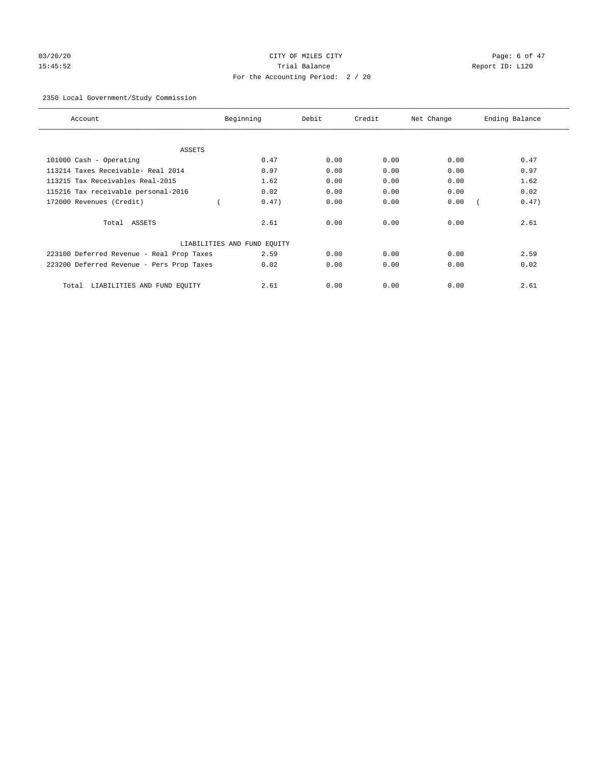# 03/20/20 **Page: 6 of 47** CITY OF MILES CITY CONTROL Page: 6 of 47 15:45:52 Trial Balance Report ID: L120 For the Accounting Period: 2 / 20

# 2350 Local Government/Study Commission

| Account                                   | Beginning                   | Debit | Credit | Net Change | Ending Balance |
|-------------------------------------------|-----------------------------|-------|--------|------------|----------------|
| ASSETS                                    |                             |       |        |            |                |
| 101000 Cash - Operating                   | 0.47                        | 0.00  | 0.00   | 0.00       | 0.47           |
| 113214 Taxes Receivable- Real 2014        | 0.97                        | 0.00  | 0.00   | 0.00       | 0.97           |
| 113215 Tax Receivables Real-2015          | 1.62                        | 0.00  | 0.00   | 0.00       | 1.62           |
| 115216 Tax receivable personal-2016       | 0.02                        | 0.00  | 0.00   | 0.00       | 0.02           |
| 172000 Revenues (Credit)                  | 0.47)                       | 0.00  | 0.00   | 0.00       | 0.47)          |
| Total ASSETS                              | 2.61                        | 0.00  | 0.00   | 0.00       | 2.61           |
|                                           | LIABILITIES AND FUND EQUITY |       |        |            |                |
| 223100 Deferred Revenue - Real Prop Taxes | 2.59                        | 0.00  | 0.00   | 0.00       | 2.59           |
| 223200 Deferred Revenue - Pers Prop Taxes | 0.02                        | 0.00  | 0.00   | 0.00       | 0.02           |
| LIABILITIES AND FUND EQUITY<br>Total      | 2.61                        | 0.00  | 0.00   | 0.00       | 2.61           |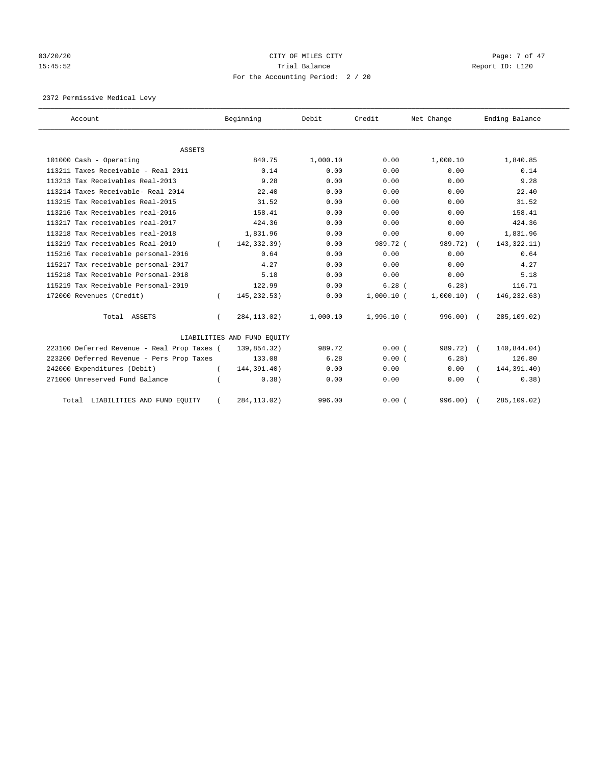# 03/20/20 **Page: 7 of 47** CITY OF MILES CITY CONTROL Page: 7 of 47 15:45:52 Trial Balance Trial Balance Report ID: L120 For the Accounting Period: 2 / 20

2372 Permissive Medical Levy

| Account                                     |          | Beginning                   | Debit    | Credit       | Net Change  | Ending Balance |
|---------------------------------------------|----------|-----------------------------|----------|--------------|-------------|----------------|
| ASSETS                                      |          |                             |          |              |             |                |
| 101000 Cash - Operating                     |          | 840.75                      | 1,000.10 | 0.00         | 1,000.10    | 1,840.85       |
| 113211 Taxes Receivable - Real 2011         |          | 0.14                        | 0.00     | 0.00         | 0.00        | 0.14           |
| 113213 Tax Receivables Real-2013            |          | 9.28                        | 0.00     | 0.00         | 0.00        | 9.28           |
| 113214 Taxes Receivable- Real 2014          |          | 22.40                       | 0.00     | 0.00         | 0.00        | 22.40          |
| 113215 Tax Receivables Real-2015            |          | 31.52                       | 0.00     | 0.00         | 0.00        | 31.52          |
| 113216 Tax Receivables real-2016            |          | 158.41                      | 0.00     | 0.00         | 0.00        | 158.41         |
| 113217 Tax receivables real-2017            |          | 424.36                      | 0.00     | 0.00         | 0.00        | 424.36         |
| 113218 Tax Receivables real-2018            |          | 1,831.96                    | 0.00     | 0.00         | 0.00        | 1,831.96       |
| 113219 Tax receivables Real-2019            |          | 142,332.39)                 | 0.00     | 989.72 (     | 989.72)     | 143, 322. 11)  |
| 115216 Tax receivable personal-2016         |          | 0.64                        | 0.00     | 0.00         | 0.00        | 0.64           |
| 115217 Tax receivable personal-2017         |          | 4.27                        | 0.00     | 0.00         | 0.00        | 4.27           |
| 115218 Tax Receivable Personal-2018         |          | 5.18                        | 0.00     | 0.00         | 0.00        | 5.18           |
| 115219 Tax Receivable Personal-2019         |          | 122.99                      | 0.00     | $6.28$ (     | 6.28        | 116.71         |
| 172000 Revenues (Credit)                    |          | 145, 232.53)                | 0.00     | $1,000.10$ ( | 1,000.10)   | 146,232.63)    |
| Total ASSETS                                | $\left($ | 284, 113.02)                | 1,000.10 | $1,996.10$ ( | $996.00)$ ( | 285,109.02)    |
|                                             |          | LIABILITIES AND FUND EQUITY |          |              |             |                |
| 223100 Deferred Revenue - Real Prop Taxes ( |          | 139,854.32)                 | 989.72   | 0.00(        | 989.72) (   | 140,844.04)    |
| 223200 Deferred Revenue - Pers Prop Taxes   |          | 133.08                      | 6.28     | 0.00(        | 6.28        | 126.80         |
| 242000 Expenditures (Debit)                 |          | 144,391.40)                 | 0.00     | 0.00         | 0.00        | 144,391.40)    |
| 271000 Unreserved Fund Balance              |          | 0.38)                       | 0.00     | 0.00         | 0.00        | 0.38)          |
| Total LIABILITIES AND FUND EQUITY           |          | 284, 113.02)                | 996.00   | 0.00(        | 996.00)     | 285,109.02)    |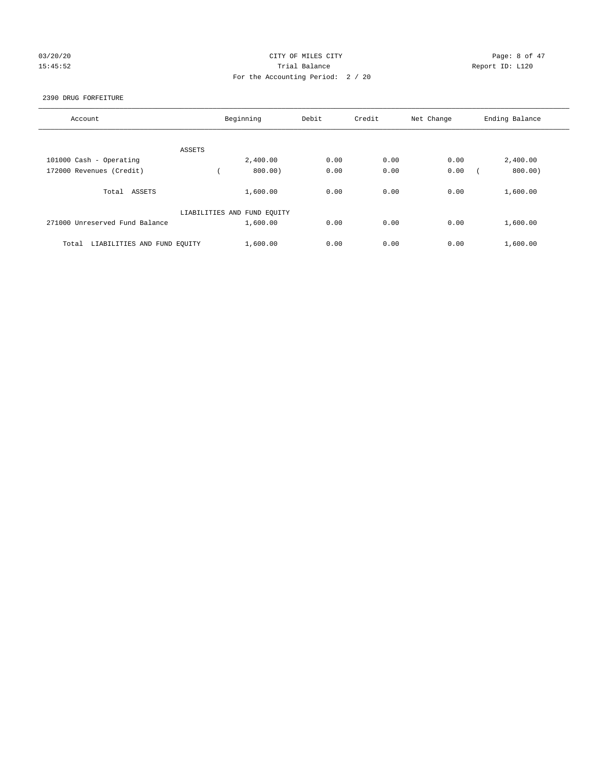# 03/20/20 **Page: 8 of 47** CITY OF MILES CITY CONTROL CONTROL Page: 8 of 47 15:45:52 Report ID: L120 For the Accounting Period: 2 / 20

#### 2390 DRUG FORFEITURE

| Account                              | Beginning                   | Debit | Credit | Net Change | Ending Balance |
|--------------------------------------|-----------------------------|-------|--------|------------|----------------|
| ASSETS                               |                             |       |        |            |                |
| 101000 Cash - Operating              | 2,400.00                    | 0.00  | 0.00   | 0.00       | 2,400.00       |
| 172000 Revenues (Credit)             | 800.00)                     | 0.00  | 0.00   | 0.00       | 800.00)        |
| Total ASSETS                         | 1,600.00                    | 0.00  | 0.00   | 0.00       | 1,600.00       |
|                                      | LIABILITIES AND FUND EQUITY |       |        |            |                |
| 271000 Unreserved Fund Balance       | 1,600.00                    | 0.00  | 0.00   | 0.00       | 1,600.00       |
| LIABILITIES AND FUND EQUITY<br>Total | 1,600.00                    | 0.00  | 0.00   | 0.00       | 1,600.00       |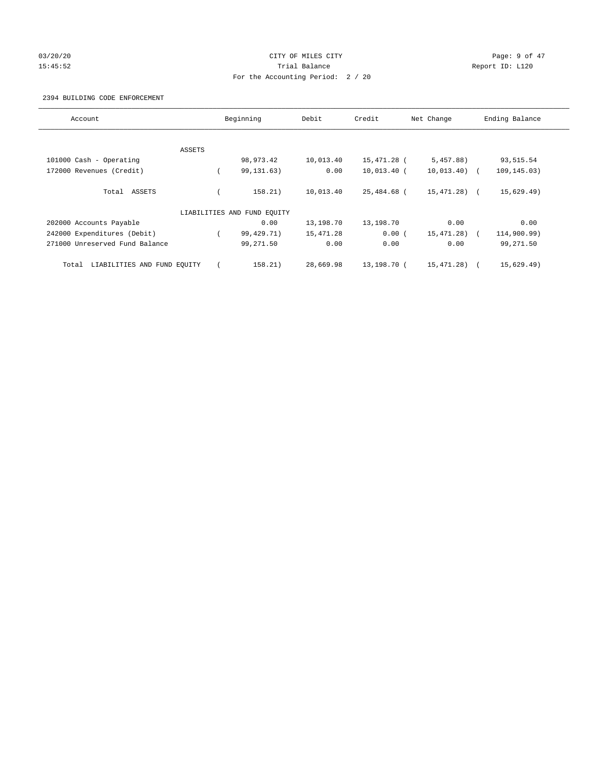# 03/20/20 **Page: 9 of 47** CITY OF MILES CITY CONTROL CONTROL Page: 9 of 47 15:45:52 Trial Balance Trial Balance Report ID: L120 For the Accounting Period: 2 / 20

#### 2394 BUILDING CODE ENFORCEMENT

| Account                              |        | Beginning                   | Debit     | Credit      | Net Change    | Ending Balance |
|--------------------------------------|--------|-----------------------------|-----------|-------------|---------------|----------------|
|                                      |        |                             |           |             |               |                |
|                                      | ASSETS |                             |           |             |               |                |
| 101000 Cash - Operating              |        | 98,973.42                   | 10,013.40 | 15,471.28 ( | 5,457.88)     | 93,515.54      |
| 172000 Revenues (Credit)             |        | 99, 131. 63)                | 0.00      | 10,013.40 ( | $10,013.40$ ( | 109,145.03)    |
| ASSETS<br>Total                      |        | 158.21)                     | 10,013.40 | 25,484.68 ( | 15,471.28) (  | 15,629.49)     |
|                                      |        | LIABILITIES AND FUND EQUITY |           |             |               |                |
| 202000 Accounts Payable              |        | 0.00                        | 13,198.70 | 13,198.70   | 0.00          | 0.00           |
| 242000 Expenditures (Debit)          |        | 99,429.71)                  | 15,471.28 | 0.00(       | 15,471.28)    | 114,900.99)    |
| 271000 Unreserved Fund Balance       |        | 99,271.50                   | 0.00      | 0.00        | 0.00          | 99,271.50      |
| LIABILITIES AND FUND EQUITY<br>Total |        | 158.21)                     | 28,669.98 | 13,198.70 ( | 15,471.28)    | 15,629.49)     |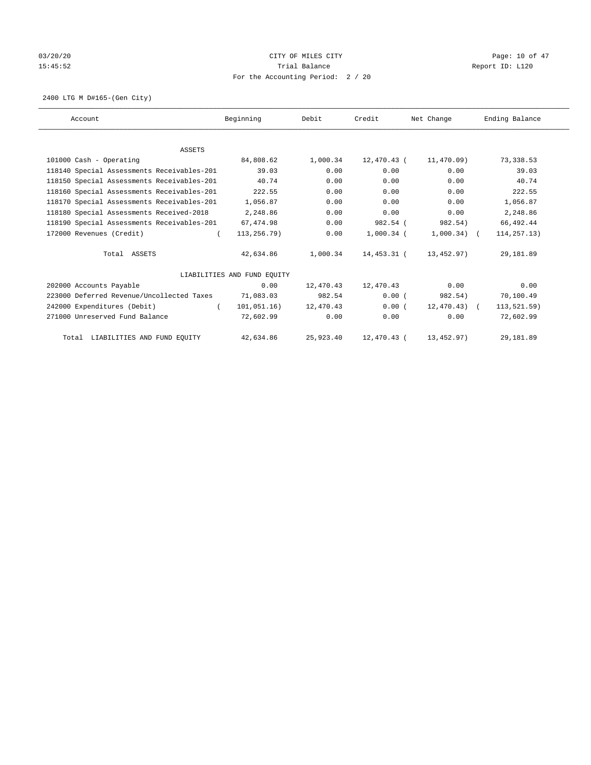# 03/20/20 **Page: 10 of 47** CITY OF MILES CITY **CITY** CITY **Page: 10 of 47** 15:45:52 Trial Balance Trial Balance Report ID: L120 For the Accounting Period: 2 / 20

2400 LTG M D#165-(Gen City)

| Account                                    | Beginning                   | Debit     | Credit       | Net Change    | Ending Balance |
|--------------------------------------------|-----------------------------|-----------|--------------|---------------|----------------|
|                                            |                             |           |              |               |                |
|                                            |                             |           |              |               |                |
| <b>ASSETS</b>                              |                             |           |              |               |                |
| 101000 Cash - Operating                    | 84,808.62                   | 1,000.34  | 12,470.43 (  | 11,470.09)    | 73,338.53      |
| 118140 Special Assessments Receivables-201 | 39.03                       | 0.00      | 0.00         | 0.00          | 39.03          |
| 118150 Special Assessments Receivables-201 | 40.74                       | 0.00      | 0.00         | 0.00          | 40.74          |
| 118160 Special Assessments Receivables-201 | 222.55                      | 0.00      | 0.00         | 0.00          | 222.55         |
| 118170 Special Assessments Receivables-201 | 1,056.87                    | 0.00      | 0.00         | 0.00          | 1,056.87       |
| 118180 Special Assessments Received-2018   | 2,248.86                    | 0.00      | 0.00         | 0.00          | 2,248.86       |
| 118190 Special Assessments Receivables-201 | 67,474.98                   | 0.00      | 982.54 (     | 982.54)       | 66,492.44      |
| 172000 Revenues (Credit)                   | 113,256.79)                 | 0.00      | $1,000.34$ ( | $1,000.34)$ ( | 114, 257. 13)  |
| Total ASSETS                               | 42,634.86                   | 1,000.34  | 14,453.31 (  | 13,452.97)    | 29,181.89      |
|                                            | LIABILITIES AND FUND EQUITY |           |              |               |                |
| 202000 Accounts Payable                    | 0.00                        | 12,470.43 | 12,470.43    | 0.00          | 0.00           |
| 223000 Deferred Revenue/Uncollected Taxes  | 71,083.03                   | 982.54    | 0.00(        | 982.54)       | 70,100.49      |
| 242000 Expenditures (Debit)<br>$\left($    | 101,051.16)                 | 12,470.43 | 0.00(        | $12,470.43$ ( | 113,521.59)    |
| 271000 Unreserved Fund Balance             | 72,602.99                   | 0.00      | 0.00         | 0.00          | 72,602.99      |
| Total LIABILITIES AND FUND EQUITY          | 42,634.86                   | 25,923.40 | 12,470.43 (  | 13, 452.97)   | 29,181.89      |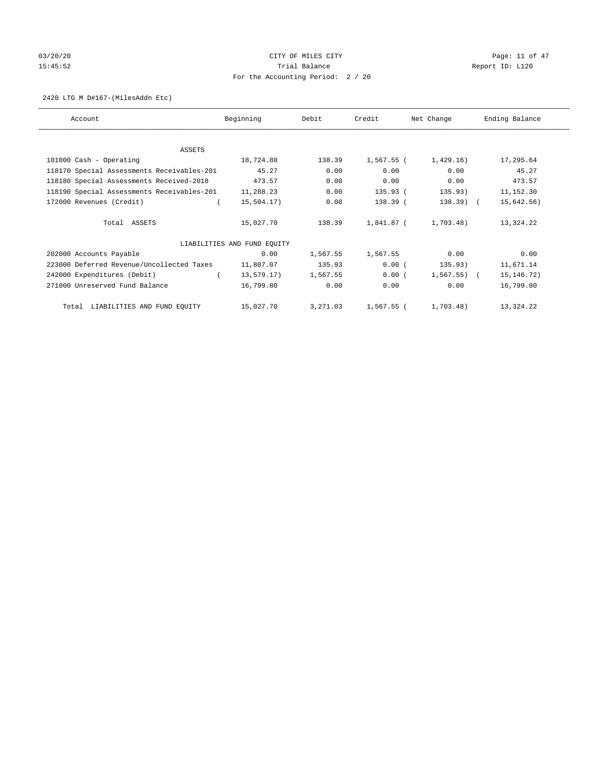# 03/20/20 **CITY OF MILES CITY CONSUMING THE PAGE:** 11 of 47 15:45:52 Trial Balance Trial Balance Report ID: L120 For the Accounting Period: 2 / 20

#### 2420 LTG M D#167-(MilesAddn Etc)

| Account                                    | Beginning                   | Debit    | Credit     | Net Change     | Ending Balance |
|--------------------------------------------|-----------------------------|----------|------------|----------------|----------------|
|                                            |                             |          |            |                |                |
| ASSETS                                     |                             |          |            |                |                |
| 101000 Cash - Operating                    | 18,724.80                   | 138.39   | 1,567.55 ( | 1,429.16)      | 17,295.64      |
| 118170 Special Assessments Receivables-201 | 45.27                       | 0.00     | 0.00       | 0.00           | 45.27          |
| 118180 Special Assessments Received-2018   | 473.57                      | 0.00     | 0.00       | 0.00           | 473.57         |
| 118190 Special Assessments Receivables-201 | 11,288.23                   | 0.00     | 135.93 (   | 135.93)        | 11,152.30      |
| 172000 Revenues (Credit)                   | 15,504.17)                  | 0.00     | 138.39 (   | $138.39$ (     | 15,642.56)     |
| Total ASSETS                               | 15,027.70                   | 138.39   | 1,841.87 ( | 1,703.48)      | 13,324.22      |
|                                            | LIABILITIES AND FUND EQUITY |          |            |                |                |
| 202000 Accounts Payable                    | 0.00                        | 1,567.55 | 1,567.55   | 0.00           | 0.00           |
| 223000 Deferred Revenue/Uncollected Taxes  | 11,807.07                   | 135.93   | 0.00(      | 135.93)        | 11,671.14      |
| 242000 Expenditures (Debit)                | 13,579.17)                  | 1,567.55 | 0.00(      | $1,567.55$ ) ( | 15, 146. 72)   |
| 271000 Unreserved Fund Balance             | 16,799.80                   | 0.00     | 0.00       | 0.00           | 16,799.80      |
| Total LIABILITIES AND FUND EQUITY          | 15,027.70                   | 3,271.03 | 1,567.55 ( | 1,703.48)      | 13,324.22      |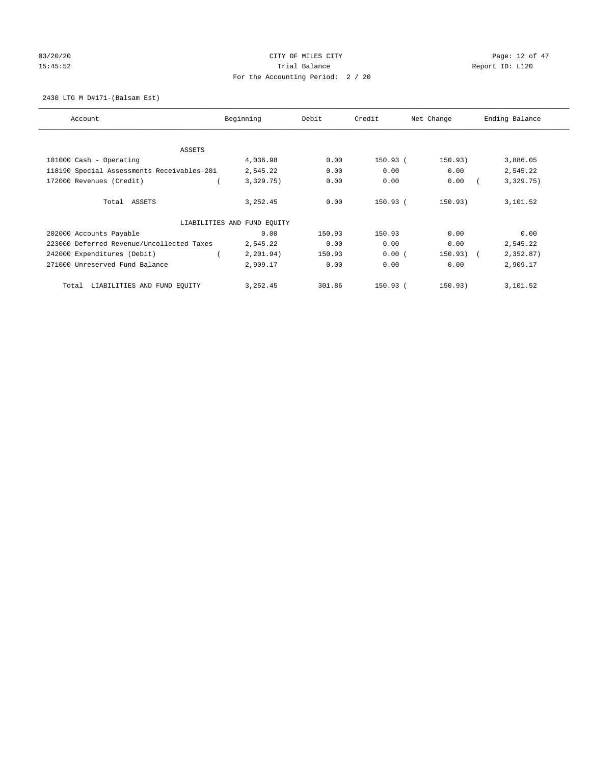# 03/20/20 **CITY OF MILES CITY CONSUMING THE PAGE:** 12 of 47 15:45:52 Trial Balance Trial Balance Report ID: L120 For the Accounting Period: 2 / 20

#### 2430 LTG M D#171-(Balsam Est)

| Account                                    | Beginning                   | Debit  | Credit     | Net Change  | Ending Balance |
|--------------------------------------------|-----------------------------|--------|------------|-------------|----------------|
| ASSETS                                     |                             |        |            |             |                |
| 101000 Cash - Operating                    | 4,036.98                    | 0.00   | 150.93 (   | 150.93)     | 3,886.05       |
| 118190 Special Assessments Receivables-201 | 2,545.22                    | 0.00   | 0.00       | 0.00        | 2,545.22       |
| 172000 Revenues (Credit)                   | 3,329.75)                   | 0.00   | 0.00       | 0.00        | 3,329.75)      |
| Total ASSETS                               | 3, 252.45                   | 0.00   | $150.93$ ( | 150.93)     | 3,101.52       |
|                                            | LIABILITIES AND FUND EQUITY |        |            |             |                |
| 202000 Accounts Payable                    | 0.00                        | 150.93 | 150.93     | 0.00        | 0.00           |
| 223000 Deferred Revenue/Uncollected Taxes  | 2,545.22                    | 0.00   | 0.00       | 0.00        | 2,545.22       |
| 242000 Expenditures (Debit)                | 2,201.94)                   | 150.93 | 0.00(      | $150.93)$ ( | 2,352.87)      |
| 271000 Unreserved Fund Balance             | 2,909.17                    | 0.00   | 0.00       | 0.00        | 2,909.17       |
| LIABILITIES AND FUND EQUITY<br>Total       | 3, 252.45                   | 301.86 | $150.93$ ( | 150.93)     | 3,101.52       |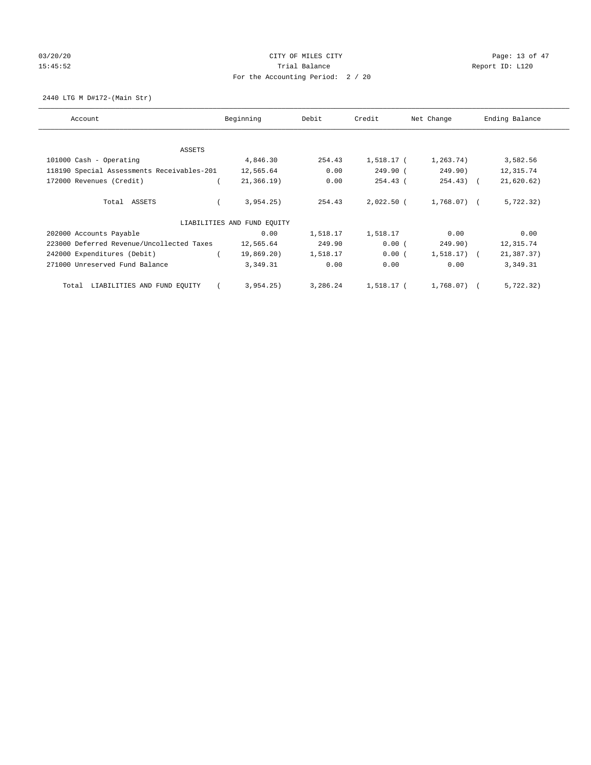# 03/20/20 **CITY OF MILES CITY CONSUMING THE CONSUMING PAGE:** 13 of 47 15:45:52 Trial Balance Trial Balance Report ID: L120 For the Accounting Period: 2 / 20

2440 LTG M D#172-(Main Str)

| Account                                    | Beginning                   | Debit    | Credit       | Net Change     | Ending Balance |
|--------------------------------------------|-----------------------------|----------|--------------|----------------|----------------|
| ASSETS                                     |                             |          |              |                |                |
| 101000 Cash - Operating                    | 4,846.30                    | 254.43   | 1,518.17 (   | 1,263.74)      | 3,582.56       |
| 118190 Special Assessments Receivables-201 | 12,565.64                   | 0.00     | 249.90 (     | 249.90)        | 12,315.74      |
| 172000 Revenues (Credit)                   | 21, 366.19)                 | 0.00     | $254.43$ (   | $254.43$ ) (   | 21,620.62)     |
| Total ASSETS                               | 3,954.25)                   | 254.43   | $2,022.50$ ( | 1,768.07) (    | 5,722.32)      |
|                                            | LIABILITIES AND FUND EQUITY |          |              |                |                |
| 202000 Accounts Payable                    | 0.00                        | 1,518.17 | 1,518.17     | 0.00           | 0.00           |
| 223000 Deferred Revenue/Uncollected Taxes  | 12,565.64                   | 249.90   | 0.00(        | 249.90)        | 12,315.74      |
| 242000 Expenditures (Debit)                | 19,869.20)                  | 1,518.17 | 0.00(        | $1,518.17$ ) ( | 21,387.37)     |
| 271000 Unreserved Fund Balance             | 3,349.31                    | 0.00     | 0.00         | 0.00           | 3,349.31       |
| LIABILITIES AND FUND EQUITY<br>Total       | 3,954.25)                   | 3,286.24 | 1,518.17 (   | 1,768.07) (    | 5,722.32)      |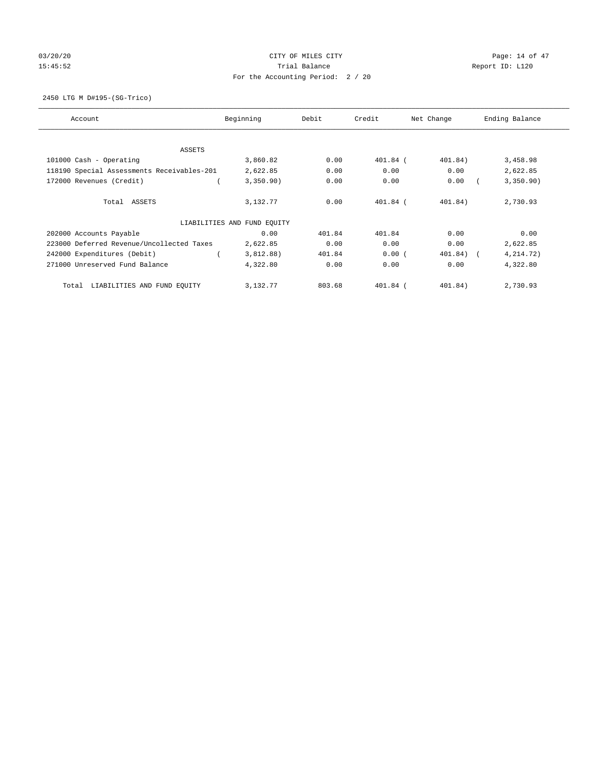# 03/20/20 **CITY OF MILES CITY CONSUMING THE PAGE:** 14 of 47 15:45:52 Trial Balance Trial Balance Report ID: L120 For the Accounting Period: 2 / 20

2450 LTG M D#195-(SG-Trico)

| Account                                    | Beginning                   | Debit  | Credit     | Net Change | Ending Balance |
|--------------------------------------------|-----------------------------|--------|------------|------------|----------------|
| ASSETS                                     |                             |        |            |            |                |
| 101000 Cash - Operating                    | 3,860.82                    | 0.00   | $401.84$ ( | 401.84)    | 3,458.98       |
| 118190 Special Assessments Receivables-201 | 2,622.85                    | 0.00   | 0.00       | 0.00       | 2,622.85       |
| 172000 Revenues (Credit)                   | 3,350.90)                   | 0.00   | 0.00       | 0.00       | 3,350.90)      |
| Total ASSETS                               | 3,132.77                    | 0.00   | $401.84$ ( | 401.84)    | 2,730.93       |
|                                            | LIABILITIES AND FUND EQUITY |        |            |            |                |
| 202000 Accounts Payable                    | 0.00                        | 401.84 | 401.84     | 0.00       | 0.00           |
| 223000 Deferred Revenue/Uncollected Taxes  | 2,622.85                    | 0.00   | 0.00       | 0.00       | 2,622.85       |
| 242000 Expenditures (Debit)                | 3,812.88)                   | 401.84 | 0.00(      | 401.84) (  | 4, 214.72)     |
| 271000 Unreserved Fund Balance             | 4,322.80                    | 0.00   | 0.00       | 0.00       | 4,322.80       |
| LIABILITIES AND FUND EQUITY<br>Total       | 3,132.77                    | 803.68 | $401.84$ ( | 401.84)    | 2,730.93       |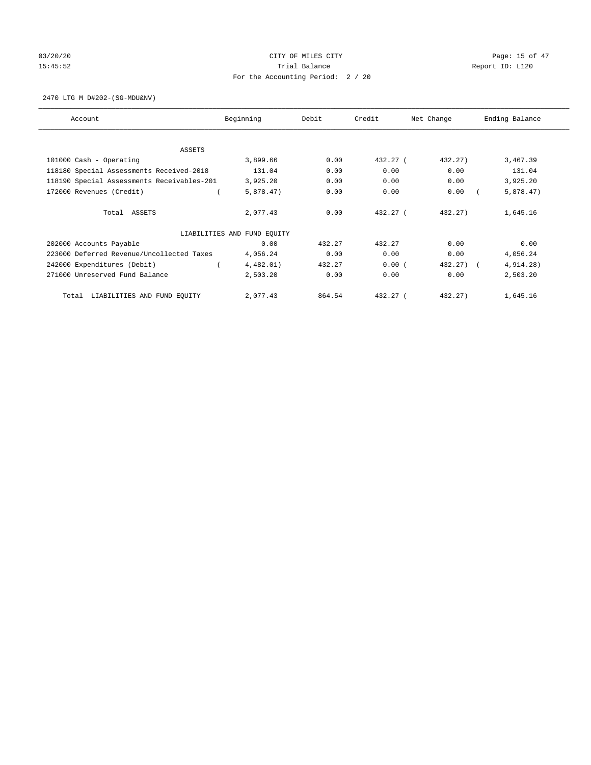# 03/20/20 **CITY OF MILES CITY CONSUMING THE CONSUMING PAGE:** 15 of 47 15:45:52 Trial Balance Trial Balance Report ID: L120 For the Accounting Period: 2 / 20

2470 LTG M D#202-(SG-MDU&NV)

| Account                                    | Beginning                   | Debit  | Credit     | Net Change | Ending Balance |
|--------------------------------------------|-----------------------------|--------|------------|------------|----------------|
| <b>ASSETS</b>                              |                             |        |            |            |                |
| 101000 Cash - Operating                    | 3,899.66                    | 0.00   | 432.27 (   | 432.27)    | 3,467.39       |
| 118180 Special Assessments Received-2018   | 131.04                      | 0.00   | 0.00       | 0.00       | 131.04         |
| 118190 Special Assessments Receivables-201 | 3,925.20                    | 0.00   | 0.00       | 0.00       | 3,925.20       |
| 172000 Revenues (Credit)                   | 5,878.47)                   | 0.00   | 0.00       | 0.00       | 5,878.47)      |
| Total ASSETS                               | 2,077.43                    | 0.00   | 432.27 (   | 432.27)    | 1,645.16       |
|                                            | LIABILITIES AND FUND EQUITY |        |            |            |                |
| 202000 Accounts Payable                    | 0.00                        | 432.27 | 432.27     | 0.00       | 0.00           |
| 223000 Deferred Revenue/Uncollected Taxes  | 4,056.24                    | 0.00   | 0.00       | 0.00       | 4,056.24       |
| 242000 Expenditures (Debit)                | 4,482.01)                   | 432.27 | 0.00(      | 432.27)    | 4,914.28)      |
| 271000 Unreserved Fund Balance             | 2,503.20                    | 0.00   | 0.00       | 0.00       | 2,503.20       |
| LIABILITIES AND FUND EQUITY<br>Total       | 2,077.43                    | 864.54 | $432.27$ ( | 432.27)    | 1,645.16       |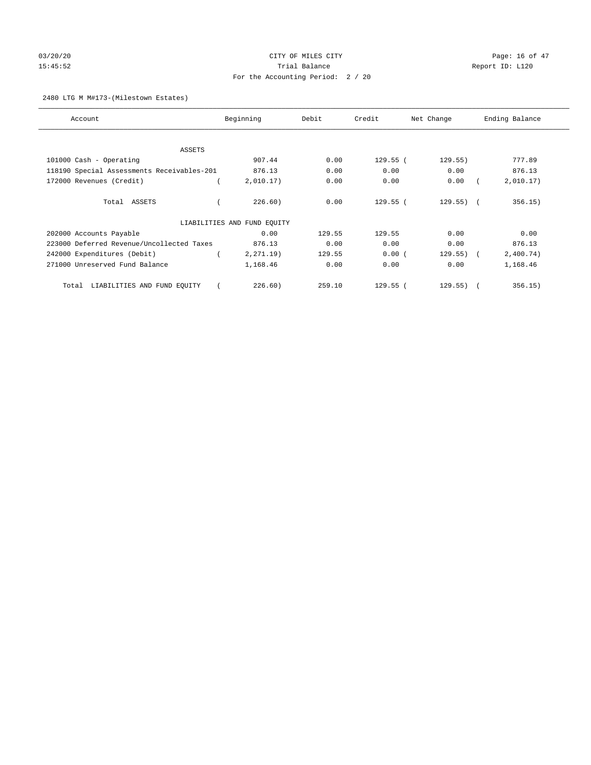# 03/20/20 **CITY OF MILES CITY CONSUMING THE CONSUMING PAGE:** 16 of 47 15:45:52 Trial Balance Trial Balance Report ID: L120 For the Accounting Period: 2 / 20

#### 2480 LTG M M#173-(Milestown Estates)

| Account                                    | Beginning                   | Debit  | Credit     | Net Change   | Ending Balance |
|--------------------------------------------|-----------------------------|--------|------------|--------------|----------------|
| ASSETS                                     |                             |        |            |              |                |
| 101000 Cash - Operating                    | 907.44                      | 0.00   | $129.55$ ( | 129.55)      | 777.89         |
| 118190 Special Assessments Receivables-201 | 876.13                      | 0.00   | 0.00       | 0.00         | 876.13         |
| 172000 Revenues (Credit)                   | 2,010.17)                   | 0.00   | 0.00       | 0.00         | 2,010.17)      |
| Total ASSETS                               | 226.60)                     | 0.00   | $129.55$ ( | $129.55$ ) ( | 356.15)        |
|                                            | LIABILITIES AND FUND EQUITY |        |            |              |                |
| 202000 Accounts Payable                    | 0.00                        | 129.55 | 129.55     | 0.00         | 0.00           |
| 223000 Deferred Revenue/Uncollected Taxes  | 876.13                      | 0.00   | 0.00       | 0.00         | 876.13         |
| 242000 Expenditures (Debit)                | $2, 271.19$ )               | 129.55 | 0.00(      | $129.55$ ) ( | 2,400.74)      |
| 271000 Unreserved Fund Balance             | 1,168.46                    | 0.00   | 0.00       | 0.00         | 1,168.46       |
| LIABILITIES AND FUND EQUITY<br>Total       | 226.60)                     | 259.10 | $129.55$ ( | $129.55$ ) ( | 356.15)        |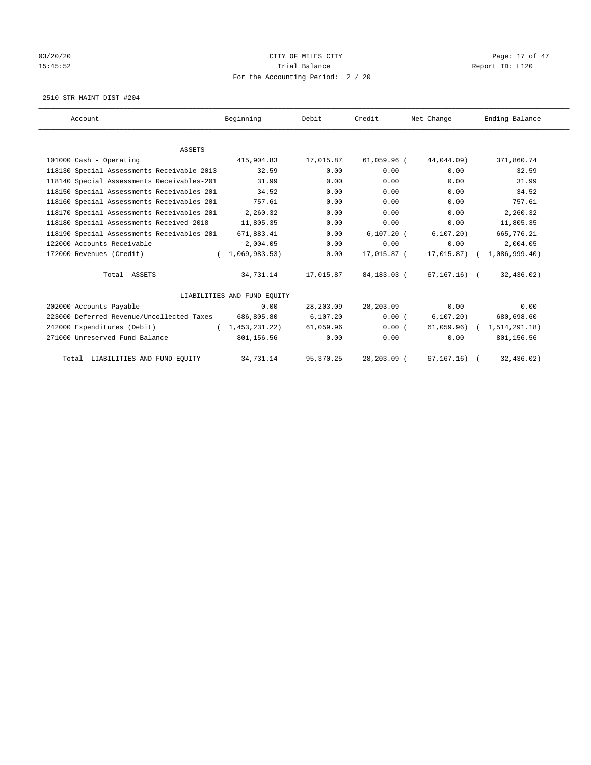# 03/20/20 **CITY OF MILES CITY CONSUMING THE PAGE:** 17 of 47 15:45:52 Trial Balance Trial Balance Report ID: L120 For the Accounting Period: 2 / 20

2510 STR MAINT DIST #204

| Account                                    | Beginning                   | Debit      | Credit        | Net Change     | Ending Balance |
|--------------------------------------------|-----------------------------|------------|---------------|----------------|----------------|
|                                            |                             |            |               |                |                |
| <b>ASSETS</b>                              |                             |            |               |                |                |
| 101000 Cash - Operating                    | 415,904.83                  | 17,015.87  | $61,059.96$ ( | 44,044.09)     | 371,860.74     |
| 118130 Special Assessments Receivable 2013 | 32.59                       | 0.00       | 0.00          | 0.00           | 32.59          |
| 118140 Special Assessments Receivables-201 | 31.99                       | 0.00       | 0.00          | 0.00           | 31.99          |
| 118150 Special Assessments Receivables-201 | 34.52                       | 0.00       | 0.00          | 0.00           | 34.52          |
| 118160 Special Assessments Receivables-201 | 757.61                      | 0.00       | 0.00          | 0.00           | 757.61         |
| 118170 Special Assessments Receivables-201 | 2,260.32                    | 0.00       | 0.00          | 0.00           | 2,260.32       |
| 118180 Special Assessments Received-2018   | 11,805.35                   | 0.00       | 0.00          | 0.00           | 11,805.35      |
| 118190 Special Assessments Receivables-201 | 671,883.41                  | 0.00       | $6.107.20$ (  | 6, 107, 20)    | 665,776.21     |
| 122000 Accounts Receivable                 | 2,004.05                    | 0.00       | 0.00          | 0.00           | 2,004.05       |
| 172000 Revenues (Credit)                   | 1,069,983.53)               | 0.00       | 17,015.87 (   | 17,015.87)     | 1,086,999.40   |
| Total ASSETS                               | 34,731.14                   | 17,015.87  | 84,183.03 (   | 67,167.16) (   | 32,436.02)     |
|                                            | LIABILITIES AND FUND EQUITY |            |               |                |                |
| 202000 Accounts Payable                    | 0.00                        | 28, 203.09 | 28,203.09     | 0.00           | 0.00           |
| 223000 Deferred Revenue/Uncollected Taxes  | 686,805.80                  | 6, 107.20  | 0.00(         | 6, 107.20)     | 680,698.60     |
| 242000 Expenditures (Debit)                | (1, 453, 231, 22)           | 61,059.96  | 0.00(         | $61,059.96)$ ( | 1,514,291.18)  |
| 271000 Unreserved Fund Balance             | 801,156.56                  | 0.00       | 0.00          | 0.00           | 801,156.56     |
| Total LIABILITIES AND FUND EQUITY          | 34,731.14                   | 95, 370.25 | 28,203.09 (   | 67, 167, 16)   | 32,436.02)     |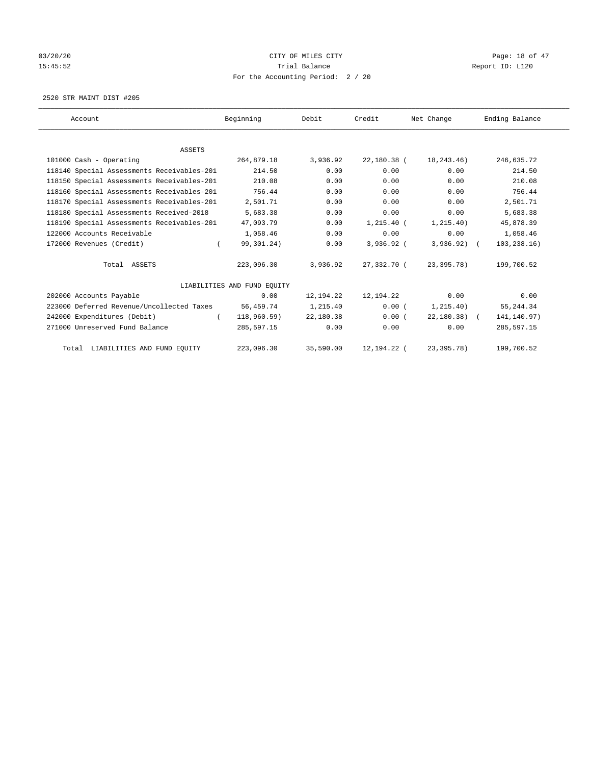# 03/20/20 **CITY OF MILES CITY CONSUMING THE CONSUMING PAGE:** 18 of 47 15:45:52 Trial Balance Trial Balance Report ID: L120 For the Accounting Period: 2 / 20

2520 STR MAINT DIST #205

| Account                                    | Beginning                   | Debit     | Credit        | Net Change    | Ending Balance |
|--------------------------------------------|-----------------------------|-----------|---------------|---------------|----------------|
|                                            |                             |           |               |               |                |
| <b>ASSETS</b>                              |                             |           |               |               |                |
| 101000 Cash - Operating                    | 264,879.18                  | 3,936.92  | 22,180.38 (   | 18,243.46)    | 246,635.72     |
| 118140 Special Assessments Receivables-201 | 214.50                      | 0.00      | 0.00          | 0.00          | 214.50         |
| 118150 Special Assessments Receivables-201 | 210.08                      | 0.00      | 0.00          | 0.00          | 210.08         |
| 118160 Special Assessments Receivables-201 | 756.44                      | 0.00      | 0.00          | 0.00          | 756.44         |
| 118170 Special Assessments Receivables-201 | 2,501.71                    | 0.00      | 0.00          | 0.00          | 2,501.71       |
| 118180 Special Assessments Received-2018   | 5,683.38                    | 0.00      | 0.00          | 0.00          | 5,683.38       |
| 118190 Special Assessments Receivables-201 | 47,093.79                   | 0.00      | $1,215.40$ (  | 1, 215.40)    | 45,878.39      |
| 122000 Accounts Receivable                 | 1,058.46                    | 0.00      | 0.00          | 0.00          | 1,058.46       |
| 172000 Revenues (Credit)                   | 99,301.24)<br>$\left($      | 0.00      | 3,936.92 (    | $3,936.92)$ ( | 103, 238.16)   |
| Total ASSETS                               | 223,096.30                  | 3,936.92  | 27,332.70 (   | 23,395.78)    | 199,700.52     |
|                                            | LIABILITIES AND FUND EQUITY |           |               |               |                |
| 202000 Accounts Payable                    | 0.00                        | 12,194.22 | 12,194.22     | 0.00          | 0.00           |
| 223000 Deferred Revenue/Uncollected Taxes  | 56,459.74                   | 1,215.40  | 0.00(         | 1, 215.40)    | 55, 244.34     |
| 242000 Expenditures (Debit)                | 118,960.59)<br>$\left($     | 22,180.38 | 0.00(         | $22,180.38$ ( | 141, 140.97)   |
| 271000 Unreserved Fund Balance             | 285,597.15                  | 0.00      | 0.00          | 0.00          | 285,597.15     |
| Total LIABILITIES AND FUND EQUITY          | 223,096.30                  | 35,590.00 | 12, 194. 22 ( | 23, 395. 78)  | 199,700.52     |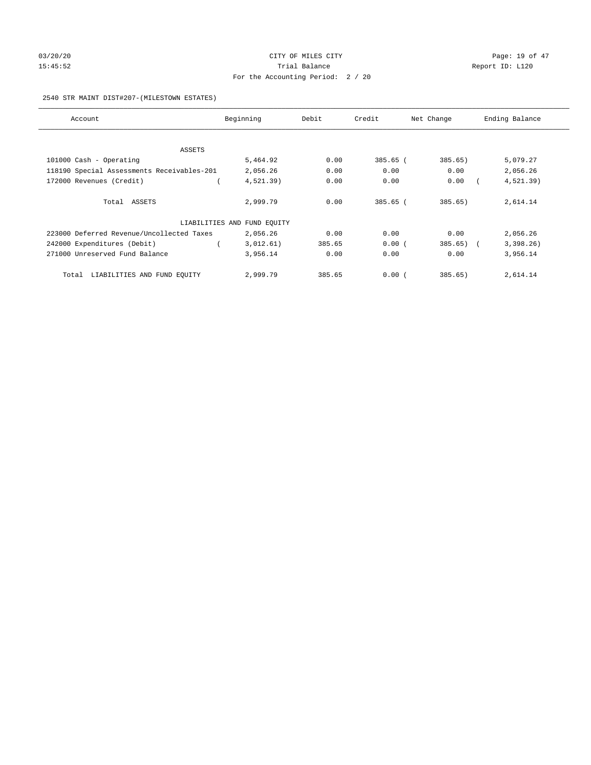# 03/20/20 **CITY OF MILES CITY CONSUMING THE CONSUMING PAGE:** 19 of 47 15:45:52 Trial Balance Trial Balance Report ID: L120 For the Accounting Period: 2 / 20

#### 2540 STR MAINT DIST#207-(MILESTOWN ESTATES)

| Account                                    | Beginning                   | Debit  | Credit   | Net Change | Ending Balance |
|--------------------------------------------|-----------------------------|--------|----------|------------|----------------|
|                                            |                             |        |          |            |                |
| ASSETS<br>101000 Cash - Operating          | 5,464.92                    | 0.00   | 385.65 ( | 385.65)    | 5,079.27       |
|                                            |                             |        |          |            |                |
| 118190 Special Assessments Receivables-201 | 2,056.26                    | 0.00   | 0.00     | 0.00       | 2,056.26       |
| 172000 Revenues (Credit)                   | $4,521.39$ )                | 0.00   | 0.00     | 0.00       | $4,521.39$ )   |
| Total ASSETS                               | 2,999.79                    | 0.00   | 385.65 ( | 385.65)    | 2,614.14       |
|                                            |                             |        |          |            |                |
|                                            | LIABILITIES AND FUND EQUITY |        |          |            |                |
| 223000 Deferred Revenue/Uncollected Taxes  | 2,056.26                    | 0.00   | 0.00     | 0.00       | 2,056.26       |
| 242000 Expenditures (Debit)                | 3,012.61)                   | 385.65 | 0.00(    | 385.65)    | 3,398.26)      |
| 271000 Unreserved Fund Balance             | 3,956.14                    | 0.00   | 0.00     | 0.00       | 3,956.14       |
| LIABILITIES AND FUND EQUITY<br>Total       | 2,999.79                    | 385.65 | 0.00(    | 385.65)    | 2,614.14       |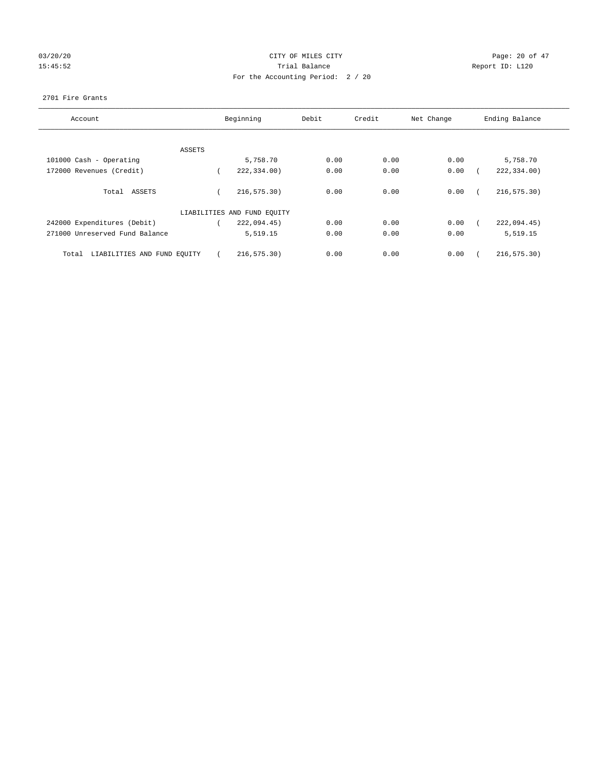# 03/20/20 Page: 20 of 47 15:45:52 Trial Balance Trial Balance Report ID: L120 For the Accounting Period: 2 / 20

#### 2701 Fire Grants

| Account                              |        | Beginning                   | Debit | Credit | Net Change | Ending Balance |
|--------------------------------------|--------|-----------------------------|-------|--------|------------|----------------|
|                                      |        |                             |       |        |            |                |
|                                      | ASSETS |                             |       |        |            |                |
| 101000 Cash - Operating              |        | 5,758.70                    | 0.00  | 0.00   | 0.00       | 5,758.70       |
| 172000 Revenues (Credit)             |        | 222,334.00)                 | 0.00  | 0.00   | 0.00       | 222,334.00)    |
| Total ASSETS                         |        | 216, 575.30)                | 0.00  | 0.00   | 0.00       | 216,575.30)    |
|                                      |        | LIABILITIES AND FUND EQUITY |       |        |            |                |
| 242000 Expenditures (Debit)          |        | 222,094.45)                 | 0.00  | 0.00   | 0.00       | 222,094.45)    |
| 271000 Unreserved Fund Balance       |        | 5,519.15                    | 0.00  | 0.00   | 0.00       | 5,519.15       |
| LIABILITIES AND FUND EQUITY<br>Total |        | 216, 575.30)                | 0.00  | 0.00   | 0.00       | 216, 575.30)   |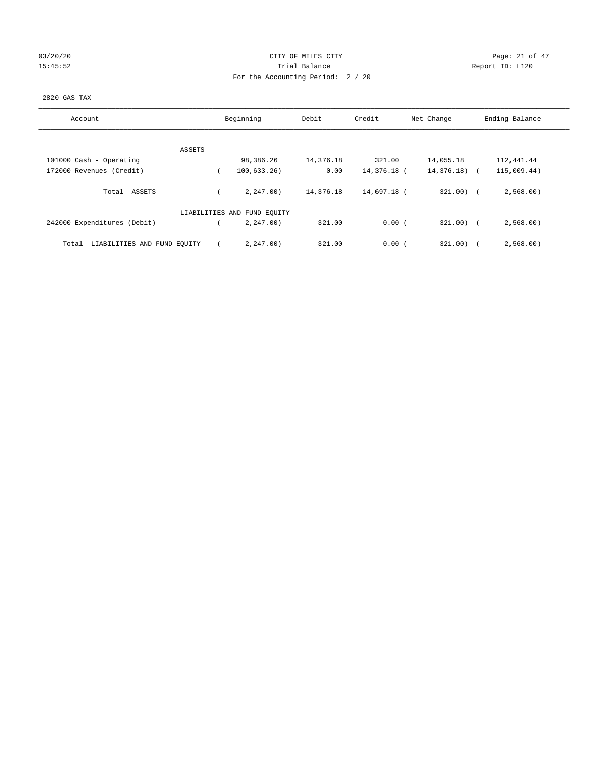| 03/20/20 |  |
|----------|--|
| 15:45:52 |  |

# CITY OF MILES CITY CONTROL CONTROL CONTROL CITY CONTROL PAGE: 21 of 47 15:45:52 Trial Balance Report ID: L120 For the Accounting Period: 2 / 20

#### 2820 GAS TAX

| Account                              | Beginning                   | Debit     | Credit      | Net Change   | Ending Balance |
|--------------------------------------|-----------------------------|-----------|-------------|--------------|----------------|
|                                      |                             |           |             |              |                |
| ASSETS                               |                             |           |             |              |                |
| 101000 Cash - Operating              | 98,386.26                   | 14,376.18 | 321.00      | 14,055.18    | 112,441.44     |
| 172000 Revenues (Credit)             | 100, 633.26)                | 0.00      | 14,376.18 ( | 14,376.18)   | 115,009.44)    |
| ASSETS<br>Total                      | 2, 247, 00)                 | 14,376.18 | 14,697.18 ( | $321.00$ ) ( | 2,568.00       |
|                                      | LIABILITIES AND FUND EQUITY |           |             |              |                |
| 242000 Expenditures (Debit)          | 2.247.00                    | 321.00    | 0.00(       | $321.00)$ (  | 2,568.00       |
| LIABILITIES AND FUND EQUITY<br>Total | 2.247.00                    | 321.00    | 0.00(       | 321.00)      | 2,568.00       |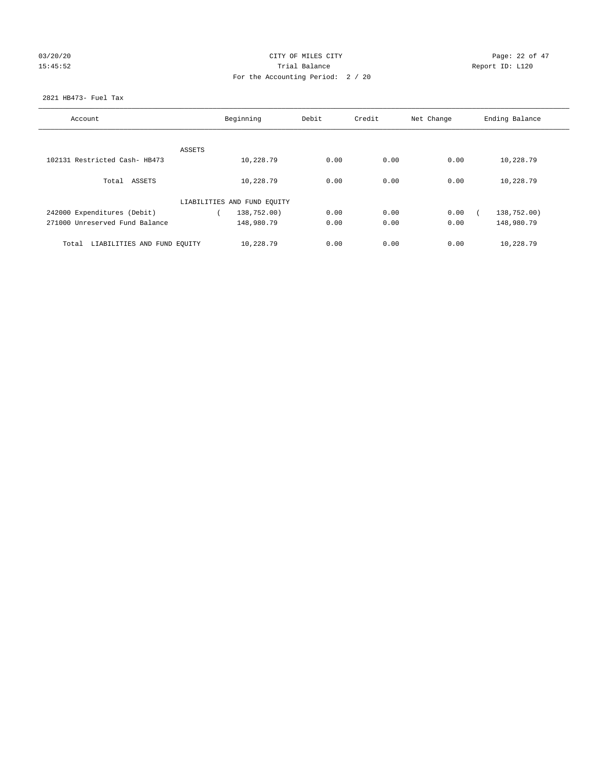# 03/20/20 Page: 22 of 47 15:45:52 Trial Balance Trial Balance Report ID: L120 For the Accounting Period: 2 / 20

#### 2821 HB473- Fuel Tax

| Account                              |        | Beginning                   | Debit | Credit | Net Change | Ending Balance |
|--------------------------------------|--------|-----------------------------|-------|--------|------------|----------------|
|                                      |        |                             |       |        |            |                |
|                                      | ASSETS |                             |       |        |            |                |
| 102131 Restricted Cash- HB473        |        | 10,228.79                   | 0.00  | 0.00   | 0.00       | 10,228.79      |
| Total ASSETS                         |        | 10,228.79                   | 0.00  | 0.00   | 0.00       | 10,228.79      |
|                                      |        | LIABILITIES AND FUND EQUITY |       |        |            |                |
| 242000 Expenditures (Debit)          |        | 138,752.00)                 | 0.00  | 0.00   | 0.00       | 138,752.00)    |
| 271000 Unreserved Fund Balance       |        | 148,980.79                  | 0.00  | 0.00   | 0.00       | 148,980.79     |
| LIABILITIES AND FUND EQUITY<br>Total |        | 10,228.79                   | 0.00  | 0.00   | 0.00       | 10,228.79      |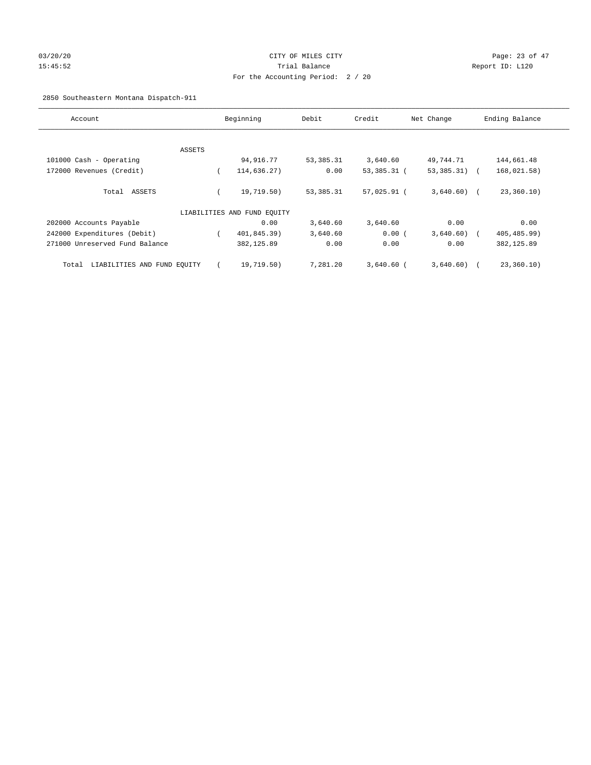# 03/20/20 Page: 23 of 47 15:45:52 Trial Balance Report ID: L120 For the Accounting Period: 2 / 20

# 2850 Southeastern Montana Dispatch-911

| Account                              |        | Beginning                   | Debit       | Credit       | Net Change     | Ending Balance |
|--------------------------------------|--------|-----------------------------|-------------|--------------|----------------|----------------|
|                                      |        |                             |             |              |                |                |
|                                      | ASSETS |                             |             |              |                |                |
| 101000 Cash - Operating              |        | 94,916.77                   | 53, 385. 31 | 3,640.60     | 49,744.71      | 144,661.48     |
| 172000 Revenues (Credit)             |        | 114,636.27)                 | 0.00        | 53,385.31 (  | $53,385.31)$ ( | 168,021.58)    |
| Total ASSETS                         |        | 19,719.50)                  | 53,385.31   | 57,025.91 (  | $3,640.60$ (   | 23, 360.10)    |
|                                      |        | LIABILITIES AND FUND EQUITY |             |              |                |                |
| 202000 Accounts Payable              |        | 0.00                        | 3,640.60    | 3,640.60     | 0.00           | 0.00           |
| 242000 Expenditures (Debit)          |        | 401,845.39)                 | 3,640.60    | 0.00(        | 3,640.60)      | 405, 485.99)   |
| 271000 Unreserved Fund Balance       |        | 382,125.89                  | 0.00        | 0.00         | 0.00           | 382, 125.89    |
| LIABILITIES AND FUND EQUITY<br>Total |        | 19,719.50)                  | 7,281.20    | $3,640.60$ ( | 3,640.60)      | 23,360.10)     |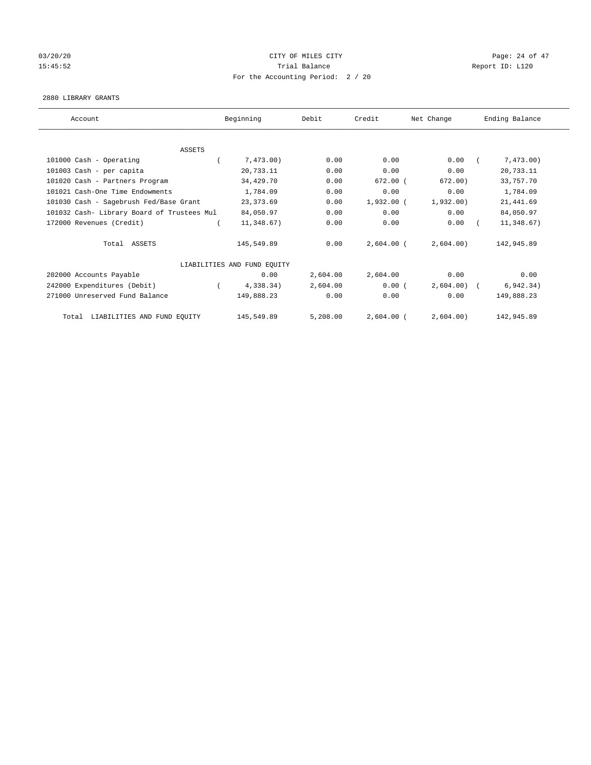# 03/20/20 Page: 24 of 47 15:45:52 Trial Balance Trial Balance Report ID: L120 For the Accounting Period: 2 / 20

#### 2880 LIBRARY GRANTS

| Account                                    | Beginning                   | Debit    | Credit       | Net Change | Ending Balance |
|--------------------------------------------|-----------------------------|----------|--------------|------------|----------------|
|                                            |                             |          |              |            |                |
| <b>ASSETS</b>                              |                             |          |              |            |                |
| 101000 Cash - Operating                    | 7,473.00)                   | 0.00     | 0.00         | 0.00       | 7,473.00)      |
| 101003 Cash - per capita                   | 20,733.11                   | 0.00     | 0.00         | 0.00       | 20,733.11      |
| 101020 Cash - Partners Program             | 34,429.70                   | 0.00     | $672.00$ (   | 672.00)    | 33,757.70      |
| 101021 Cash-One Time Endowments            | 1,784.09                    | 0.00     | 0.00         | 0.00       | 1,784.09       |
| 101030 Cash - Sagebrush Fed/Base Grant     | 23, 373.69                  | 0.00     | $1,932.00$ ( | 1,932.00)  | 21, 441.69     |
| 101032 Cash- Library Board of Trustees Mul | 84,050.97                   | 0.00     | 0.00         | 0.00       | 84,050.97      |
| 172000 Revenues (Credit)                   | 11,348.67)                  | 0.00     | 0.00         | 0.00       | 11,348.67)     |
| Total ASSETS                               | 145,549.89                  | 0.00     | $2,604.00$ ( | 2,604.00   | 142,945.89     |
|                                            | LIABILITIES AND FUND EQUITY |          |              |            |                |
| 202000 Accounts Payable                    | 0.00                        | 2,604.00 | 2,604.00     | 0.00       | 0.00           |
| 242000 Expenditures (Debit)                | 4,338.34)                   | 2,604.00 | 0.00(        | 2,604.00   | 6, 942.34)     |
| 271000 Unreserved Fund Balance             | 149,888.23                  | 0.00     | 0.00         | 0.00       | 149,888.23     |
| LIABILITIES AND FUND EQUITY<br>Total       | 145,549.89                  | 5,208.00 | $2,604.00$ ( | 2,604.00)  | 142,945.89     |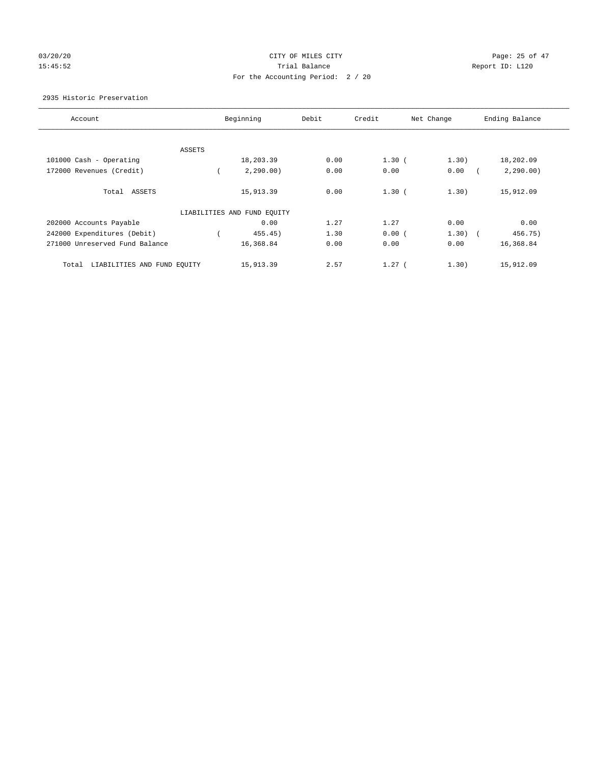# 03/20/20 Page: 25 of 47 15:45:52 Trial Balance Report ID: L120 For the Accounting Period: 2 / 20

#### 2935 Historic Preservation

| Account                              |        | Beginning                   | Debit | Credit   | Net Change | Ending Balance |
|--------------------------------------|--------|-----------------------------|-------|----------|------------|----------------|
|                                      |        |                             |       |          |            |                |
|                                      | ASSETS |                             |       |          |            |                |
| 101000 Cash - Operating              |        | 18,203.39                   | 0.00  | $1.30$ ( | 1.30)      | 18,202.09      |
| 172000 Revenues (Credit)             |        | 2, 290.00)                  | 0.00  | 0.00     | 0.00       | 2, 290.00)     |
| Total ASSETS                         |        | 15,913.39                   | 0.00  | $1.30$ ( | 1.30)      | 15,912.09      |
|                                      |        | LIABILITIES AND FUND EQUITY |       |          |            |                |
| 202000 Accounts Payable              |        | 0.00                        | 1.27  | 1.27     | 0.00       | 0.00           |
| 242000 Expenditures (Debit)          |        | 455.45)                     | 1.30  | 0.00(    | $1.30)$ (  | 456.75)        |
| 271000 Unreserved Fund Balance       |        | 16,368.84                   | 0.00  | 0.00     | 0.00       | 16,368.84      |
| LIABILITIES AND FUND EQUITY<br>Total |        | 15,913.39                   | 2.57  | $1.27$ ( | 1.30)      | 15,912.09      |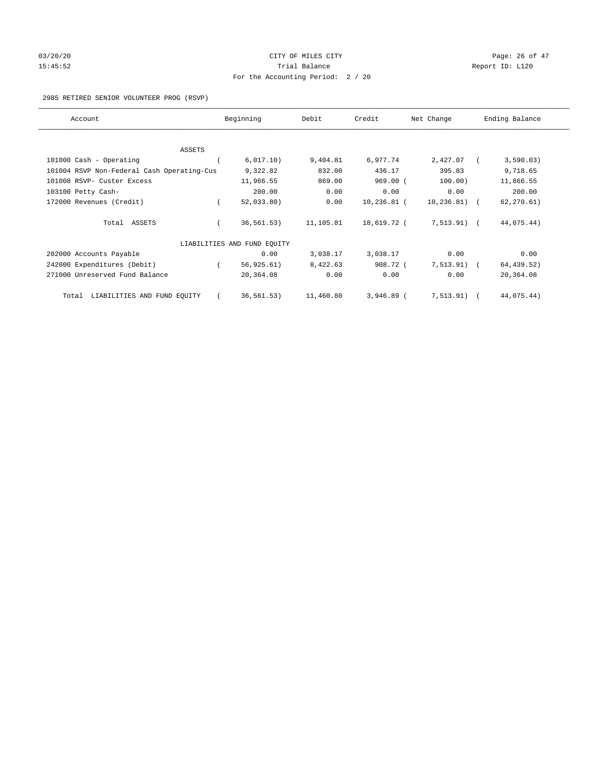# 03/20/20 Page: 26 of 47 15:45:52 Trial Balance Trial Balance Report ID: L120 For the Accounting Period: 2 / 20

#### 2985 RETIRED SENIOR VOLUNTEER PROG (RSVP)

| Account                                    | Beginning                   | Debit     | Credit       | Net Change    | Ending Balance |
|--------------------------------------------|-----------------------------|-----------|--------------|---------------|----------------|
|                                            |                             |           |              |               |                |
| ASSETS                                     |                             |           |              |               |                |
| 101000 Cash - Operating                    | 6,017.10)                   | 9,404.81  | 6,977.74     | 2,427.07      | 3,590.03)      |
| 101004 RSVP Non-Federal Cash Operating-Cus | 9,322.82                    | 832.00    | 436.17       | 395.83        | 9,718.65       |
| 101008 RSVP- Custer Excess                 | 11,966.55                   | 869.00    | $969.00$ (   | 100.00)       | 11,866.55      |
| 103100 Petty Cash-                         | 200.00                      | 0.00      | 0.00         | 0.00          | 200.00         |
| 172000 Revenues (Credit)                   | 52,033.80)                  | 0.00      | 10,236.81 (  | 10,236.81)    | 62, 270.61)    |
| Total ASSETS                               | 36, 561.53)                 | 11,105.81 | 18,619.72 (  | $7,513.91)$ ( | 44,075.44)     |
|                                            | LIABILITIES AND FUND EQUITY |           |              |               |                |
| 202000 Accounts Payable                    | 0.00                        | 3,038.17  | 3,038.17     | 0.00          | 0.00           |
| 242000 Expenditures (Debit)                | 56, 925.61)                 | 8,422.63  | 908.72 (     | 7, 513.91)    | 64, 439.52)    |
| 271000 Unreserved Fund Balance             | 20,364.08                   | 0.00      | 0.00         | 0.00          | 20,364.08      |
| LIABILITIES AND FUND EQUITY<br>Total       | 36, 561.53)                 | 11,460.80 | $3,946.89$ ( | 7, 513.91)    | 44,075.44)     |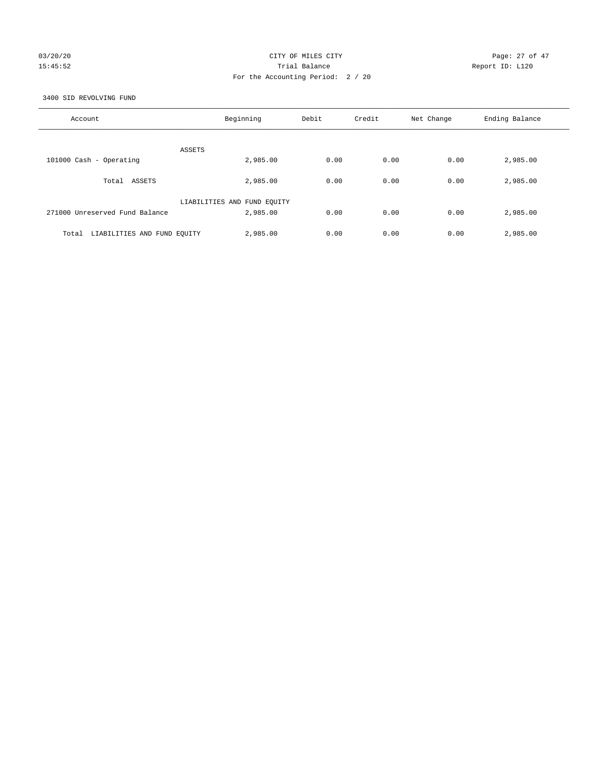# 03/20/20 Page: 27 of 47 15:45:52 Trial Balance Report ID: L120 For the Accounting Period: 2 / 20

3400 SID REVOLVING FUND

| Account                              | Beginning                   | Debit | Credit | Net Change | Ending Balance |
|--------------------------------------|-----------------------------|-------|--------|------------|----------------|
| ASSETS                               |                             |       |        |            |                |
| 101000 Cash - Operating              | 2,985.00                    | 0.00  | 0.00   | 0.00       | 2,985.00       |
| Total ASSETS                         | 2,985.00                    | 0.00  | 0.00   | 0.00       | 2,985.00       |
|                                      | LIABILITIES AND FUND EQUITY |       |        |            |                |
| 271000 Unreserved Fund Balance       | 2,985.00                    | 0.00  | 0.00   | 0.00       | 2,985.00       |
| LIABILITIES AND FUND EQUITY<br>Total | 2,985.00                    | 0.00  | 0.00   | 0.00       | 2,985.00       |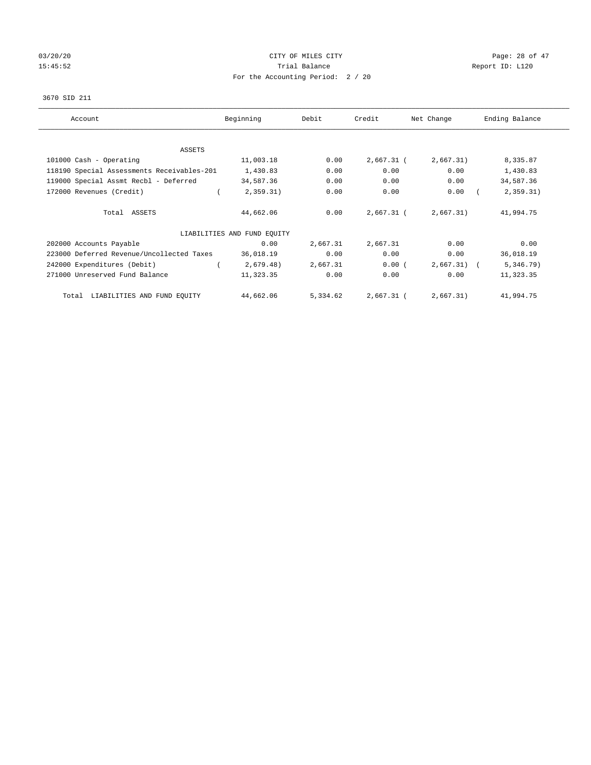# 03/20/20 Page: 28 of 47 15:45:52 Trial Balance Trial Balance Report ID: L120 For the Accounting Period: 2 / 20

#### 3670 SID 211

| Account                                    | Beginning                   | Debit    | Credit       | Net Change | Ending Balance |
|--------------------------------------------|-----------------------------|----------|--------------|------------|----------------|
| <b>ASSETS</b>                              |                             |          |              |            |                |
| 101000 Cash - Operating                    | 11,003.18                   | 0.00     | $2,667.31$ ( | 2,667.31)  | 8,335.87       |
| 118190 Special Assessments Receivables-201 | 1,430.83                    | 0.00     | 0.00         | 0.00       | 1,430.83       |
| 119000 Special Assmt Recbl - Deferred      | 34,587.36                   | 0.00     | 0.00         | 0.00       | 34,587.36      |
| 172000 Revenues (Credit)                   | 2,359.31)                   | 0.00     | 0.00         | 0.00       | 2,359.31)      |
| Total ASSETS                               | 44,662.06                   | 0.00     | 2,667.31 (   | 2,667.31)  | 41,994.75      |
|                                            | LIABILITIES AND FUND EQUITY |          |              |            |                |
| 202000 Accounts Payable                    | 0.00                        | 2,667.31 | 2,667.31     | 0.00       | 0.00           |
| 223000 Deferred Revenue/Uncollected Taxes  | 36,018.19                   | 0.00     | 0.00         | 0.00       | 36,018.19      |
| 242000 Expenditures (Debit)                | 2,679.48)                   | 2,667.31 | 0.00(        | 2,667.31)  | 5,346.79)      |
| 271000 Unreserved Fund Balance             | 11,323.35                   | 0.00     | 0.00         | 0.00       | 11,323.35      |
| LIABILITIES AND FUND EQUITY<br>Total       | 44,662.06                   | 5,334.62 | 2,667.31 (   | 2,667.31)  | 41,994.75      |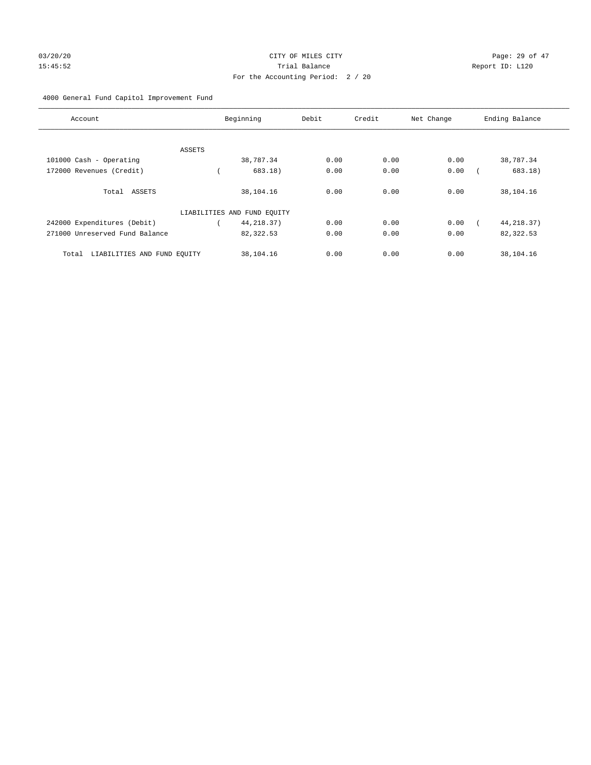# 03/20/20 Page: 29 of 47 15:45:52 Trial Balance Report ID: L120 For the Accounting Period: 2 / 20

# 4000 General Fund Capitol Improvement Fund

| Account                              |        | Beginning                   | Debit | Credit | Net Change | Ending Balance |
|--------------------------------------|--------|-----------------------------|-------|--------|------------|----------------|
|                                      | ASSETS |                             |       |        |            |                |
| 101000 Cash - Operating              |        | 38,787.34                   | 0.00  | 0.00   | 0.00       | 38,787.34      |
| 172000 Revenues (Credit)             |        | 683.18)                     | 0.00  | 0.00   | 0.00       | 683.18)        |
| Total ASSETS                         |        | 38,104.16                   | 0.00  | 0.00   | 0.00       | 38,104.16      |
|                                      |        | LIABILITIES AND FUND EQUITY |       |        |            |                |
| 242000 Expenditures (Debit)          |        | 44, 218.37)                 | 0.00  | 0.00   | 0.00       | 44, 218.37)    |
| 271000 Unreserved Fund Balance       |        | 82,322.53                   | 0.00  | 0.00   | 0.00       | 82,322.53      |
| LIABILITIES AND FUND EQUITY<br>Total |        | 38,104.16                   | 0.00  | 0.00   | 0.00       | 38,104.16      |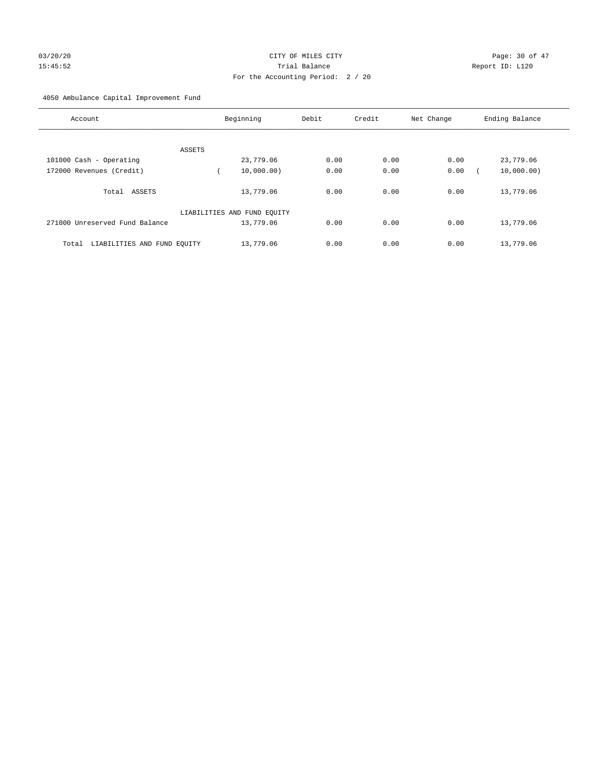# 03/20/20 Page: 30 of 47 15:45:52 Trial Balance Report ID: L120 For the Accounting Period: 2 / 20

4050 Ambulance Capital Improvement Fund

| Account                              | Beginning                   | Debit | Credit | Net Change | Ending Balance |
|--------------------------------------|-----------------------------|-------|--------|------------|----------------|
| ASSETS                               |                             |       |        |            |                |
| 101000 Cash - Operating              | 23,779.06                   | 0.00  | 0.00   | 0.00       | 23,779.06      |
| 172000 Revenues (Credit)             | 10,000,00)                  | 0.00  | 0.00   | 0.00       | 10,000.00)     |
| Total ASSETS                         | 13,779.06                   | 0.00  | 0.00   | 0.00       | 13,779.06      |
|                                      | LIABILITIES AND FUND EQUITY |       |        |            |                |
| 271000 Unreserved Fund Balance       | 13,779.06                   | 0.00  | 0.00   | 0.00       | 13,779.06      |
| LIABILITIES AND FUND EQUITY<br>Total | 13,779.06                   | 0.00  | 0.00   | 0.00       | 13,779.06      |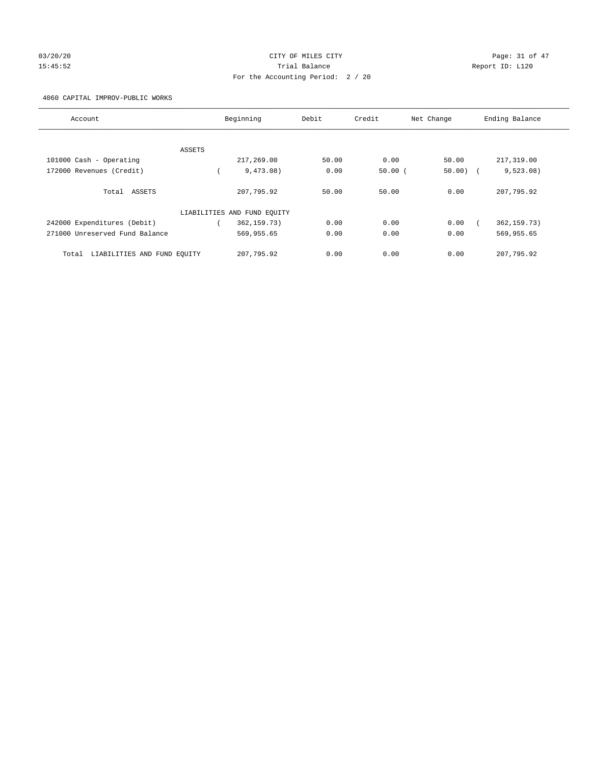# 03/20/20 Page: 31 of 47 15:45:52 Trial Balance Report ID: L120 For the Accounting Period: 2 / 20

#### 4060 CAPITAL IMPROV-PUBLIC WORKS

| Account                              | Beginning                   | Debit | Credit | Net Change | Ending Balance |
|--------------------------------------|-----------------------------|-------|--------|------------|----------------|
| ASSETS                               |                             |       |        |            |                |
| 101000 Cash - Operating              | 217,269.00                  | 50.00 | 0.00   | 50.00      | 217,319.00     |
| 172000 Revenues (Credit)             | 9,473.08)                   | 0.00  | 50.00( | $50.00$ )  | 9,523.08)      |
| Total ASSETS                         | 207,795.92                  | 50.00 | 50.00  | 0.00       | 207,795.92     |
|                                      | LIABILITIES AND FUND EQUITY |       |        |            |                |
| 242000 Expenditures (Debit)          | 362, 159. 73)               | 0.00  | 0.00   | 0.00       | 362, 159. 73)  |
| 271000 Unreserved Fund Balance       | 569,955.65                  | 0.00  | 0.00   | 0.00       | 569,955.65     |
| LIABILITIES AND FUND EOUITY<br>Total | 207,795.92                  | 0.00  | 0.00   | 0.00       | 207,795.92     |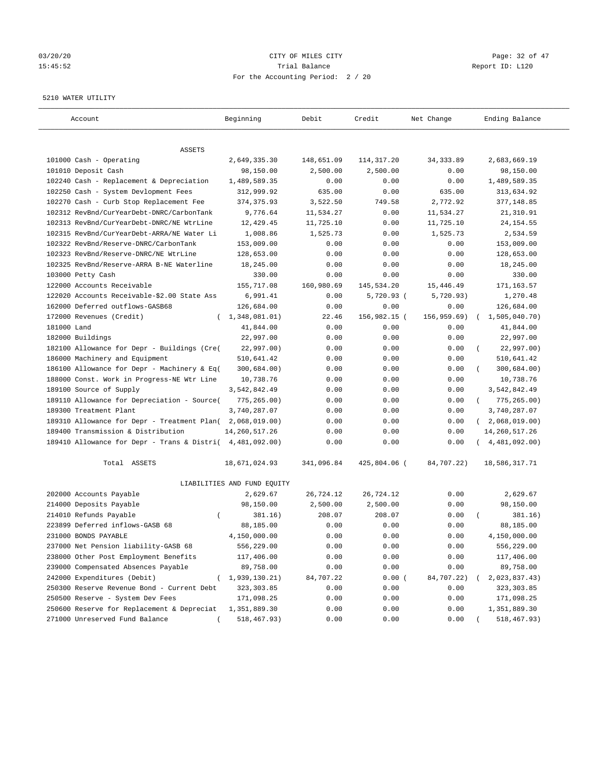# 03/20/20 **CITY OF MILES CITY CONSUMING THE CONSUMING PAGE:** 32 of 47 15:45:52 Trial Balance Report ID: L120 For the Accounting Period: 2 / 20

#### 5210 WATER UTILITY

| Account                                                   | Beginning                   | Debit      | Credit       | Net Change   | Ending Balance          |
|-----------------------------------------------------------|-----------------------------|------------|--------------|--------------|-------------------------|
| ASSETS                                                    |                             |            |              |              |                         |
| 101000 Cash - Operating                                   | 2,649,335.30                | 148,651.09 | 114,317.20   | 34, 333.89   | 2,683,669.19            |
| 101010 Deposit Cash                                       | 98,150.00                   | 2,500.00   | 2,500.00     | 0.00         | 98,150.00               |
| 102240 Cash - Replacement & Depreciation                  | 1,489,589.35                | 0.00       | 0.00         | 0.00         | 1,489,589.35            |
| 102250 Cash - System Devlopment Fees                      | 312,999.92                  | 635.00     | 0.00         | 635.00       | 313,634.92              |
| 102270 Cash - Curb Stop Replacement Fee                   | 374, 375.93                 | 3,522.50   | 749.58       | 2,772.92     | 377,148.85              |
| 102312 RevBnd/CurYearDebt-DNRC/CarbonTank                 | 9,776.64                    | 11,534.27  | 0.00         | 11,534.27    | 21,310.91               |
| 102313 RevBnd/CurYearDebt-DNRC/NE WtrLine                 | 12,429.45                   | 11,725.10  | 0.00         | 11,725.10    | 24, 154.55              |
| 102315 RevBnd/CurYearDebt-ARRA/NE Water Li                | 1,008.86                    | 1,525.73   | 0.00         | 1,525.73     | 2,534.59                |
| 102322 RevBnd/Reserve-DNRC/CarbonTank                     | 153,009.00                  | 0.00       | 0.00         | 0.00         | 153,009.00              |
| 102323 RevBnd/Reserve-DNRC/NE WtrLine                     | 128,653.00                  | 0.00       | 0.00         | 0.00         | 128,653.00              |
| 102325 RevBnd/Reserve-ARRA B-NE Waterline                 | 18,245.00                   | 0.00       | 0.00         | 0.00         | 18,245.00               |
| 103000 Petty Cash                                         | 330.00                      | 0.00       | 0.00         | 0.00         | 330.00                  |
| 122000 Accounts Receivable                                | 155,717.08                  | 160,980.69 | 145,534.20   | 15,446.49    | 171,163.57              |
| 122020 Accounts Receivable-\$2.00 State Ass               | 6,991.41                    | 0.00       | 5,720.93 (   | 5,720.93)    | 1,270.48                |
| 162000 Deferred outflows-GASB68                           | 126,684.00                  | 0.00       | 0.00         | 0.00         | 126,684.00              |
| 172000 Revenues (Credit)                                  | (1, 348, 081.01)            | 22.46      | 156,982.15 ( | 156, 959.69) | 1,505,040.70)           |
| 181000 Land                                               | 41,844.00                   | 0.00       | 0.00         | 0.00         | 41,844.00               |
| 182000 Buildings                                          | 22,997.00                   | 0.00       | 0.00         | 0.00         | 22,997.00               |
| 182100 Allowance for Depr - Buildings (Cre(               | 22,997.00)                  | 0.00       | 0.00         | 0.00         | 22,997.00)              |
| 186000 Machinery and Equipment                            | 510,641.42                  | 0.00       | 0.00         | 0.00         | 510,641.42              |
| 186100 Allowance for Depr - Machinery & Eq(               | 300,684.00)                 | 0.00       | 0.00         | 0.00         | 300,684.00)             |
| 188000 Const. Work in Progress-NE Wtr Line                | 10,738.76                   | 0.00       | 0.00         | 0.00         | 10,738.76               |
| 189100 Source of Supply                                   | 3,542,842.49                | 0.00       | 0.00         | 0.00         | 3,542,842.49            |
| 189110 Allowance for Depreciation - Source(               | 775,265.00)                 | 0.00       | 0.00         | 0.00         | 775,265.00)<br>$\left($ |
| 189300 Treatment Plant                                    | 3,740,287.07                | 0.00       | 0.00         | 0.00         | 3,740,287.07            |
| 189310 Allowance for Depr - Treatment Plan(               | 2,068,019.00)               | 0.00       | 0.00         | 0.00         | (2,068,019.00)          |
| 189400 Transmission & Distribution                        | 14, 260, 517.26             | 0.00       | 0.00         | 0.00         | 14, 260, 517. 26        |
| 189410 Allowance for Depr - Trans & Distri( 4,481,092.00) |                             | 0.00       | 0.00         | 0.00         | 4,481,092.00)           |
|                                                           |                             |            |              |              |                         |
| Total ASSETS                                              | 18,671,024.93               | 341,096.84 | 425,804.06 ( | 84,707.22)   | 18,586,317.71           |
|                                                           | LIABILITIES AND FUND EQUITY |            |              |              |                         |
| 202000 Accounts Payable                                   | 2,629.67                    | 26,724.12  | 26,724.12    | 0.00         | 2,629.67                |
| 214000 Deposits Payable                                   | 98,150.00                   | 2,500.00   | 2,500.00     | 0.00         | 98,150.00               |
| 214010 Refunds Payable<br>$\left($                        | 381.16)                     | 208.07     | 208.07       | 0.00         | 381.16)                 |
| 223899 Deferred inflows-GASB 68                           | 88,185.00                   | 0.00       | 0.00         | 0.00         | 88,185.00               |
| 231000 BONDS PAYABLE                                      | 4,150,000.00                | 0.00       | 0.00         | 0.00         | 4,150,000.00            |
| 237000 Net Pension liability-GASB 68                      | 556,229.00                  | 0.00       | 0.00         | 0.00         | 556,229.00              |
| 238000 Other Post Employment Benefits                     | 117,406.00                  | 0.00       | 0.00         | 0.00         | 117,406.00              |
| 239000 Compensated Absences Payable                       | 89,758.00                   | 0.00       | 0.00         | 0.00         | 89,758.00               |
| 242000 Expenditures (Debit)                               | 1,939,130.21)               | 84,707.22  | 0.00(        | 84,707.22)   | 2,023,837.43)           |
| 250300 Reserve Revenue Bond - Current Debt                | 323, 303.85                 | 0.00       | 0.00         | 0.00         | 323, 303.85             |
| 250500 Reserve - System Dev Fees                          | 171,098.25                  | 0.00       | 0.00         | 0.00         | 171,098.25              |
| 250600 Reserve for Replacement & Depreciat                | 1,351,889.30                | 0.00       | 0.00         | 0.00         | 1,351,889.30            |
| 271000 Unreserved Fund Balance                            | 518,467.93)                 | 0.00       | 0.00         | 0.00         | 518,467.93)             |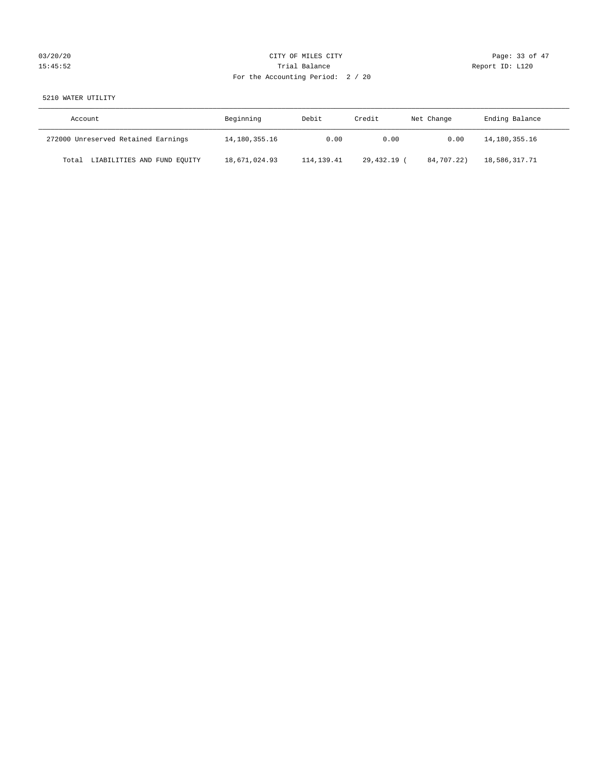# 03/20/20 Page: 33 of 47 15:45:52 Trial Balance Report ID: L120 For the Accounting Period: 2 / 20

# 5210 WATER UTILITY

| Account                              | Beginning     | Debit        | Credit    | Net Change | Ending Balance |
|--------------------------------------|---------------|--------------|-----------|------------|----------------|
| 272000 Unreserved Retained Earnings  | 14,180,355.16 | 0.00         | 0.00      | 0.00       | 14,180,355.16  |
| LIABILITIES AND FUND EQUITY<br>Total | 18,671,024.93 | 114, 139. 41 | 29,432.19 | 84,707.22) | 18,586,317.71  |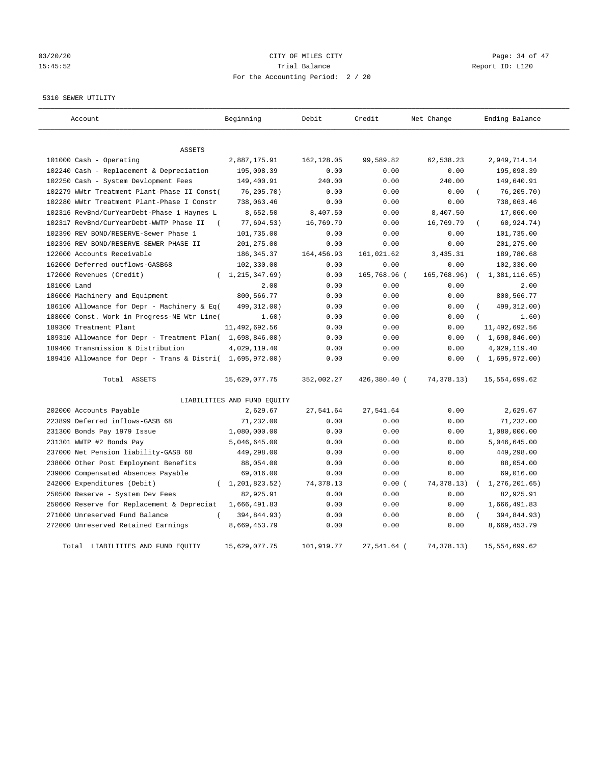# 03/20/20 Page: 34 of 47 15:45:52 Trial Balance Report ID: L120 For the Accounting Period: 2 / 20

5310 SEWER UTILITY

| Account                                                   | Beginning                   | Debit       | Credit       | Net Change   | Ending Balance |
|-----------------------------------------------------------|-----------------------------|-------------|--------------|--------------|----------------|
| <b>ASSETS</b>                                             |                             |             |              |              |                |
| 101000 Cash - Operating                                   | 2,887,175.91                | 162,128.05  | 99,589.82    | 62,538.23    | 2,949,714.14   |
| 102240 Cash - Replacement & Depreciation                  | 195,098.39                  | 0.00        | 0.00         | 0.00         | 195,098.39     |
| 102250 Cash - System Devlopment Fees                      | 149,400.91                  | 240.00      | 0.00         | 240.00       | 149,640.91     |
| 102279 WWtr Treatment Plant-Phase II Const(               | 76,205.70)                  | 0.00        | 0.00         | 0.00         | 76, 205.70)    |
| 102280 WWtr Treatment Plant-Phase I Constr                | 738,063.46                  | 0.00        | 0.00         | 0.00         | 738,063.46     |
| 102316 RevBnd/CurYearDebt-Phase 1 Haynes L                | 8,652.50                    | 8,407.50    | 0.00         | 8,407.50     | 17,060.00      |
| 102317 RevBnd/CurYearDebt-WWTP Phase II<br>$\left($       | 77,694.53)                  | 16,769.79   | 0.00         | 16,769.79    | 60,924.74)     |
| 102390 REV BOND/RESERVE-Sewer Phase 1                     | 101,735.00                  | 0.00        | 0.00         | 0.00         | 101,735.00     |
| 102396 REV BOND/RESERVE-SEWER PHASE II                    | 201,275.00                  | 0.00        | 0.00         | 0.00         | 201,275.00     |
| 122000 Accounts Receivable                                | 186, 345. 37                | 164, 456.93 | 161,021.62   | 3,435.31     | 189,780.68     |
| 162000 Deferred outflows-GASB68                           | 102,330.00                  | 0.00        | 0.00         | 0.00         | 102,330.00     |
| 172000 Revenues (Credit)                                  | (1, 215, 347.69)            | 0.00        | 165,768.96 ( | 165,768.96)  | 1,381,116.65)  |
| 181000 Land                                               | 2.00                        | 0.00        | 0.00         | 0.00         | 2.00           |
| 186000 Machinery and Equipment                            | 800,566.77                  | 0.00        | 0.00         | 0.00         | 800,566.77     |
| 186100 Allowance for Depr - Machinery & Eq(               | 499, 312.00)                | 0.00        | 0.00         | 0.00         | 499, 312.00)   |
| 188000 Const. Work in Progress-NE Wtr Line(               | 1.60)                       | 0.00        | 0.00         | 0.00         | 1.60)          |
| 189300 Treatment Plant                                    | 11,492,692.56               | 0.00        | 0.00         | 0.00         | 11,492,692.56  |
| 189310 Allowance for Depr - Treatment Plan( 1,698,846.00) |                             | 0.00        | 0.00         | 0.00         | (1,698,846.00) |
| 189400 Transmission & Distribution                        | 4,029,119.40                | 0.00        | 0.00         | 0.00         | 4,029,119.40   |
| 189410 Allowance for Depr - Trans & Distri( 1,695,972.00) |                             | 0.00        | 0.00         | 0.00         | (1,695,972.00) |
| Total ASSETS                                              | 15,629,077.75               | 352,002.27  | 426,380.40 ( | 74,378.13)   | 15,554,699.62  |
|                                                           | LIABILITIES AND FUND EQUITY |             |              |              |                |
| 202000 Accounts Payable                                   | 2,629.67                    | 27,541.64   | 27,541.64    | 0.00         | 2,629.67       |
| 223899 Deferred inflows-GASB 68                           | 71,232.00                   | 0.00        | 0.00         | 0.00         | 71,232.00      |
| 231300 Bonds Pay 1979 Issue                               | 1,080,000.00                | 0.00        | 0.00         | 0.00         | 1,080,000.00   |
| 231301 WWTP #2 Bonds Pay                                  | 5,046,645.00                | 0.00        | 0.00         | 0.00         | 5,046,645.00   |
| 237000 Net Pension liability-GASB 68                      | 449,298.00                  | 0.00        | 0.00         | 0.00         | 449,298.00     |
| 238000 Other Post Employment Benefits                     | 88,054.00                   | 0.00        | 0.00         | 0.00         | 88,054.00      |
| 239000 Compensated Absences Payable                       | 69,016.00                   | 0.00        | 0.00         | 0.00         | 69,016.00      |
| 242000 Expenditures (Debit)<br>$\left($                   | 1,201,823.52)               | 74,378.13   | 0.00(        | 74, 378.13)  | 1,276,201.65)  |
| 250500 Reserve - System Dev Fees                          | 82,925.91                   | 0.00        | 0.00         | 0.00         | 82,925.91      |
| 250600 Reserve for Replacement & Depreciat                | 1,666,491.83                | 0.00        | 0.00         | 0.00         | 1,666,491.83   |
| $\left($<br>271000 Unreserved Fund Balance                | 394,844.93)                 | 0.00        | 0.00         | 0.00         | 394,844.93)    |
| 272000 Unreserved Retained Earnings                       | 8,669,453.79                | 0.00        | 0.00         | 0.00         | 8,669,453.79   |
| Total LIABILITIES AND FUND EQUITY                         | 15,629,077.75               | 101,919.77  | 27,541.64 (  | 74, 378, 13) | 15,554,699.62  |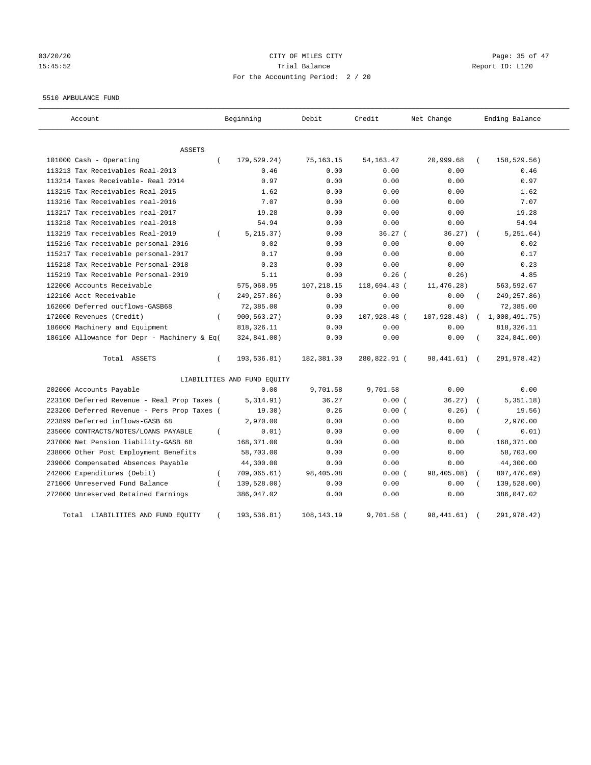# 03/20/20 Page: 35 of 47 15:45:52 Trial Balance Report ID: L120 For the Accounting Period: 2 / 20

#### 5510 AMBULANCE FUND

| Account                                     | Beginning                   | Debit        | Credit       | Net Change   | Ending Balance            |
|---------------------------------------------|-----------------------------|--------------|--------------|--------------|---------------------------|
| ASSETS                                      |                             |              |              |              |                           |
| 101000 Cash - Operating                     | 179,529.24)<br>$\left($     | 75,163.15    | 54, 163. 47  | 20,999.68    | 158,529.56)               |
| 113213 Tax Receivables Real-2013            | 0.46                        | 0.00         | 0.00         | 0.00         | 0.46                      |
| 113214 Taxes Receivable- Real 2014          | 0.97                        | 0.00         | 0.00         | 0.00         | 0.97                      |
| 113215 Tax Receivables Real-2015            | 1.62                        | 0.00         | 0.00         | 0.00         | 1.62                      |
| 113216 Tax Receivables real-2016            | 7.07                        | 0.00         | 0.00         | 0.00         | 7.07                      |
| 113217 Tax receivables real-2017            | 19.28                       | 0.00         | 0.00         | 0.00         | 19.28                     |
| 113218 Tax Receivables real-2018            | 54.94                       | 0.00         | 0.00         | 0.00         | 54.94                     |
| 113219 Tax receivables Real-2019            | 5, 215.37)<br>$\left($      | 0.00         | 36.27(       | 36.27)       | 5, 251.64)                |
| 115216 Tax receivable personal-2016         | 0.02                        | 0.00         | 0.00         | 0.00         | 0.02                      |
| 115217 Tax receivable personal-2017         | 0.17                        | 0.00         | 0.00         | 0.00         | 0.17                      |
| 115218 Tax Receivable Personal-2018         | 0.23                        | 0.00         | 0.00         | 0.00         | 0.23                      |
| 115219 Tax Receivable Personal-2019         | 5.11                        | 0.00         | $0.26$ (     | 0.26)        | 4.85                      |
| 122000 Accounts Receivable                  | 575,068.95                  | 107,218.15   | 118,694.43 ( | 11, 476.28)  | 563,592.67                |
| 122100 Acct Receivable                      | 249, 257.86)<br>$\left($    | 0.00         | 0.00         | 0.00         | 249, 257.86)              |
| 162000 Deferred outflows-GASB68             | 72,385.00                   | 0.00         | 0.00         | 0.00         | 72,385.00                 |
| 172000 Revenues (Credit)                    | 900,563.27)<br>$\left($     | 0.00         | 107,928.48 ( | 107,928.48)  | 1,008,491.75)<br>$\left($ |
| 186000 Machinery and Equipment              | 818, 326.11                 | 0.00         | 0.00         | 0.00         | 818, 326.11               |
| 186100 Allowance for Depr - Machinery & Eq( | 324,841.00)                 | 0.00         | 0.00         | 0.00         | 324,841.00)               |
| Total ASSETS                                | 193,536.81)<br>$\left($     | 182,381.30   | 280,822.91 ( | 98,441.61)   | 291,978.42)<br>$\sqrt{2}$ |
|                                             | LIABILITIES AND FUND EQUITY |              |              |              |                           |
| 202000 Accounts Payable                     | 0.00                        | 9,701.58     | 9,701.58     | 0.00         | 0.00                      |
| 223100 Deferred Revenue - Real Prop Taxes ( | 5,314.91)                   | 36.27        | 0.00(        | 36.27)       | 5,351.18)                 |
| 223200 Deferred Revenue - Pers Prop Taxes ( | 19.30)                      | 0.26         | 0.00(        | 0.26)        | 19.56)                    |
| 223899 Deferred inflows-GASB 68             | 2,970.00                    | 0.00         | 0.00         | 0.00         | 2,970.00                  |
| 235000 CONTRACTS/NOTES/LOANS PAYABLE        | 0.01)<br>$\left($           | 0.00         | 0.00         | 0.00         | 0.01)                     |
| 237000 Net Pension liability-GASB 68        | 168,371.00                  | 0.00         | 0.00         | 0.00         | 168,371.00                |
| 238000 Other Post Employment Benefits       | 58,703.00                   | 0.00         | 0.00         | 0.00         | 58,703.00                 |
| 239000 Compensated Absences Payable         | 44,300.00                   | 0.00         | 0.00         | 0.00         | 44,300.00                 |
| 242000 Expenditures (Debit)                 | 709,065.61)<br>$\left($     | 98,405.08    | 0.00(        | 98,405.08)   | 807,470.69)               |
| 271000 Unreserved Fund Balance              | 139,528.00)<br>$\epsilon$   | 0.00         | 0.00         | 0.00         | 139,528.00)               |
| 272000 Unreserved Retained Earnings         | 386,047.02                  | 0.00         | 0.00         | 0.00         | 386,047.02                |
| LIABILITIES AND FUND EQUITY<br>Total        | 193,536.81)                 | 108, 143. 19 | 9,701.58 (   | 98, 441. 61) | 291,978.42)               |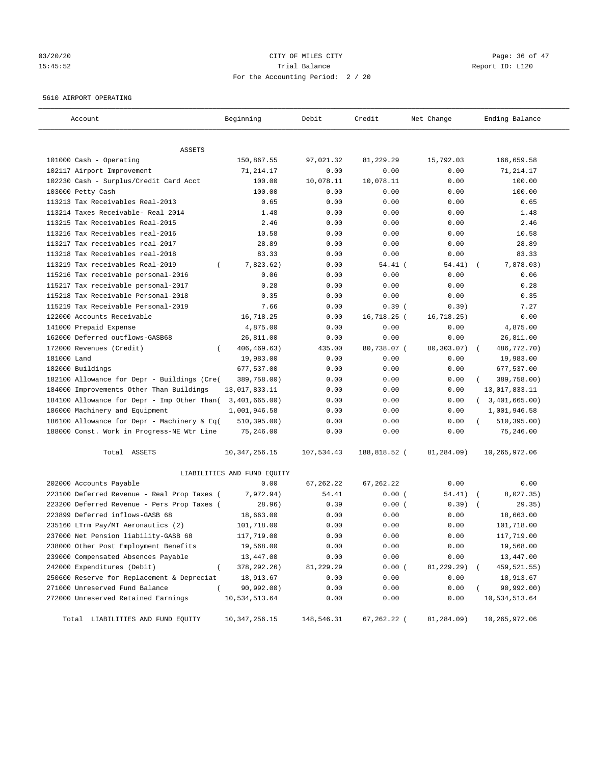# 03/20/20 Page: 36 of 47 15:45:52 Trial Balance Report ID: L120 For the Accounting Period: 2 / 20

#### 5610 AIRPORT OPERATING

| Account                                      | Beginning                   | Debit      | Credit       | Net Change  | Ending Balance            |
|----------------------------------------------|-----------------------------|------------|--------------|-------------|---------------------------|
| ASSETS                                       |                             |            |              |             |                           |
| 101000 Cash - Operating                      | 150,867.55                  | 97,021.32  | 81,229.29    | 15,792.03   | 166,659.58                |
| 102117 Airport Improvement                   | 71,214.17                   | 0.00       | 0.00         | 0.00        | 71,214.17                 |
| 102230 Cash - Surplus/Credit Card Acct       | 100.00                      | 10,078.11  | 10,078.11    | 0.00        | 100.00                    |
| 103000 Petty Cash                            | 100.00                      | 0.00       | 0.00         | 0.00        | 100.00                    |
| 113213 Tax Receivables Real-2013             | 0.65                        | 0.00       | 0.00         | 0.00        | 0.65                      |
| 113214 Taxes Receivable- Real 2014           | 1.48                        | 0.00       | 0.00         | 0.00        | 1.48                      |
| 113215 Tax Receivables Real-2015             | 2.46                        | 0.00       | 0.00         | 0.00        | 2.46                      |
| 113216 Tax Receivables real-2016             | 10.58                       | 0.00       | 0.00         | 0.00        | 10.58                     |
| 113217 Tax receivables real-2017             | 28.89                       | 0.00       | 0.00         | 0.00        | 28.89                     |
| 113218 Tax Receivables real-2018             | 83.33                       | 0.00       | 0.00         | 0.00        | 83.33                     |
| 113219 Tax receivables Real-2019<br>$\left($ | 7,823.62)                   | 0.00       | $54.41$ (    | 54.41)      | 7,878.03)                 |
| 115216 Tax receivable personal-2016          | 0.06                        | 0.00       | 0.00         | 0.00        | 0.06                      |
| 115217 Tax receivable personal-2017          | 0.28                        | 0.00       | 0.00         | 0.00        | 0.28                      |
| 115218 Tax Receivable Personal-2018          | 0.35                        | 0.00       | 0.00         | 0.00        | 0.35                      |
| 115219 Tax Receivable Personal-2019          | 7.66                        | 0.00       | 0.39(        | 0.39)       | 7.27                      |
| 122000 Accounts Receivable                   | 16,718.25                   | 0.00       | 16,718.25 (  | 16, 718.25) | 0.00                      |
| 141000 Prepaid Expense                       | 4,875.00                    | 0.00       | 0.00         | 0.00        | 4,875.00                  |
| 162000 Deferred outflows-GASB68              | 26,811.00                   | 0.00       | 0.00         | 0.00        | 26,811.00                 |
| 172000 Revenues (Credit)<br>$\left($         | 406, 469. 63)               | 435.00     | 80,738.07 (  | 80,303.07)  | 486,772.70)               |
| 181000 Land                                  | 19,983.00                   | 0.00       | 0.00         | 0.00        | 19,983.00                 |
| 182000 Buildings                             | 677,537.00                  | 0.00       | 0.00         | 0.00        | 677,537.00                |
| 182100 Allowance for Depr - Buildings (Cre(  | 389,758.00)                 | 0.00       | 0.00         | 0.00        | 389,758.00)               |
| 184000 Improvements Other Than Buildings     | 13,017,833.11               | 0.00       | 0.00         | 0.00        | 13,017,833.11             |
| 184100 Allowance for Depr - Imp Other Than(  | 3,401,665.00)               | 0.00       | 0.00         | 0.00        | 3,401,665.00)<br>$\left($ |
| 186000 Machinery and Equipment               | 1,001,946.58                | 0.00       | 0.00         | 0.00        | 1,001,946.58              |
| 186100 Allowance for Depr - Machinery & Eq(  | 510, 395.00)                | 0.00       | 0.00         | 0.00        | 510, 395.00)              |
| 188000 Const. Work in Progress-NE Wtr Line   | 75,246.00                   | 0.00       | 0.00         | 0.00        | 75,246.00                 |
| Total ASSETS                                 | 10, 347, 256. 15            | 107,534.43 | 188,818.52 ( | 81,284.09)  | 10,265,972.06             |
|                                              | LIABILITIES AND FUND EQUITY |            |              |             |                           |
| 202000 Accounts Payable                      | 0.00                        | 67, 262.22 | 67, 262.22   | 0.00        | 0.00                      |
| 223100 Deferred Revenue - Real Prop Taxes (  | 7,972.94)                   | 54.41      | 0.00(        | 54.41)      | 8,027.35)<br>$\sqrt{2}$   |
| 223200 Deferred Revenue - Pers Prop Taxes (  | 28.96)                      | 0.39       | 0.00(        | 0.39)       | 29.35)                    |
| 223899 Deferred inflows-GASB 68              | 18,663.00                   | 0.00       | 0.00         | 0.00        | 18,663.00                 |
| 235160 LTrm Pay/MT Aeronautics (2)           | 101,718.00                  | 0.00       | 0.00         | 0.00        | 101,718.00                |
| 237000 Net Pension liability-GASB 68         | 117,719.00                  | 0.00       | 0.00         | 0.00        | 117,719.00                |
| 238000 Other Post Employment Benefits        | 19,568.00                   | 0.00       | 0.00         | 0.00        | 19,568.00                 |
| 239000 Compensated Absences Payable          | 13,447.00                   | 0.00       | 0.00         | 0.00        | 13,447.00                 |
| 242000 Expenditures (Debit)<br>$\left($      | 378, 292. 26)               | 81,229.29  | 0.00(        | 81,229.29)  | 459,521.55)               |
| 250600 Reserve for Replacement & Depreciat   | 18,913.67                   | 0.00       | 0.00         | 0.00        | 18,913.67                 |
| 271000 Unreserved Fund Balance<br>$\left($   | 90,992.00)                  | 0.00       | 0.00         | 0.00        | 90,992.00)                |
| 272000 Unreserved Retained Earnings          | 10,534,513.64               | 0.00       | 0.00         | 0.00        | 10,534,513.64             |
| Total LIABILITIES AND FUND EQUITY            | 10, 347, 256. 15            | 148,546.31 | 67,262.22 (  | 81,284.09)  | 10,265,972.06             |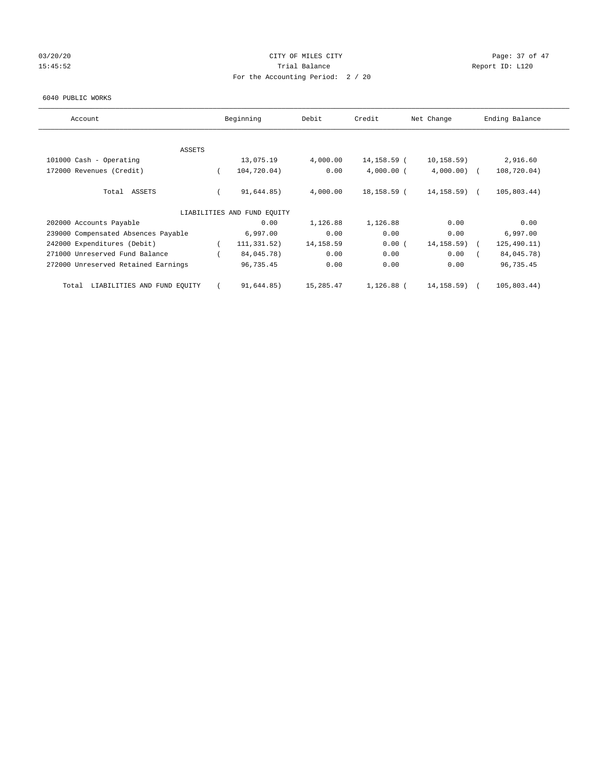# 03/20/20 Page: 37 of 47 15:45:52 Trial Balance Trial Balance Report ID: L120 For the Accounting Period: 2 / 20

#### 6040 PUBLIC WORKS

| Account                              |          | Beginning                   | Debit      | Credit       | Net Change     | Ending Balance |
|--------------------------------------|----------|-----------------------------|------------|--------------|----------------|----------------|
| ASSETS                               |          |                             |            |              |                |                |
| 101000 Cash - Operating              |          | 13,075.19                   | 4,000.00   | 14,158.59 (  | 10, 158.59)    | 2,916.60       |
| 172000 Revenues (Credit)             | $\left($ | 104,720.04)                 | 0.00       | $4,000.00$ ( | 4,000.00       | 108,720.04)    |
|                                      |          |                             |            |              |                |                |
| Total ASSETS                         |          | 91,644.85)                  | 4,000.00   | 18,158.59 (  | $14, 158.59$ ( | 105,803.44)    |
|                                      |          |                             |            |              |                |                |
|                                      |          | LIABILITIES AND FUND EQUITY |            |              |                |                |
| 202000 Accounts Payable              |          | 0.00                        | 1,126.88   | 1,126.88     | 0.00           | 0.00           |
| 239000 Compensated Absences Payable  |          | 6,997.00                    | 0.00       | 0.00         | 0.00           | 6,997.00       |
| 242000 Expenditures (Debit)          |          | 111,331.52)                 | 14, 158.59 | 0.00(        | 14, 158.59)    | 125, 490.11)   |
| 271000 Unreserved Fund Balance       |          | 84,045.78)                  | 0.00       | 0.00         | 0.00           | 84,045.78)     |
| 272000 Unreserved Retained Earnings  |          | 96,735.45                   | 0.00       | 0.00         | 0.00           | 96,735.45      |
| LIABILITIES AND FUND EQUITY<br>Total |          | 91,644.85)                  | 15,285.47  | 1,126.88 (   | 14, 158.59)    | 105,803.44)    |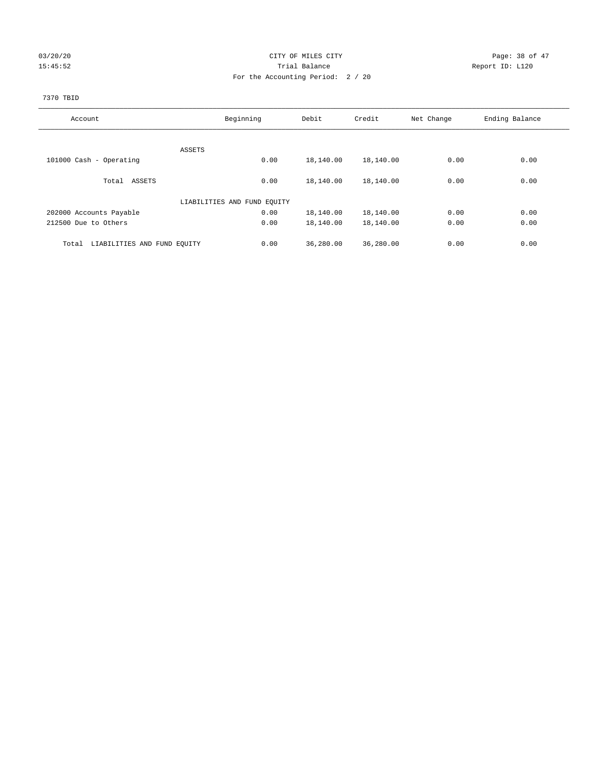# 03/20/20 Page: 38 of 47 15:45:52 Report ID: L120 For the Accounting Period: 2 / 20

#### 7370 TBID

| Account                     | Beginning                   |      | Debit     | Credit    | Net Change | Ending Balance |
|-----------------------------|-----------------------------|------|-----------|-----------|------------|----------------|
|                             |                             |      |           |           |            |                |
|                             | ASSETS                      |      |           |           |            |                |
| 101000 Cash - Operating     |                             | 0.00 | 18,140.00 | 18,140.00 | 0.00       | 0.00           |
|                             |                             |      |           |           |            |                |
| Total ASSETS                |                             | 0.00 | 18,140.00 | 18,140.00 | 0.00       | 0.00           |
|                             | LIABILITIES AND FUND EQUITY |      |           |           |            |                |
|                             |                             |      |           |           |            |                |
| 202000 Accounts Payable     |                             | 0.00 | 18,140.00 | 18,140.00 | 0.00       | 0.00           |
| 212500 Due to Others        |                             | 0.00 | 18,140.00 | 18,140.00 | 0.00       | 0.00           |
| Total                       |                             |      |           |           | 0.00       | 0.00           |
| LIABILITIES AND FUND EQUITY |                             | 0.00 | 36,280.00 | 36,280.00 |            |                |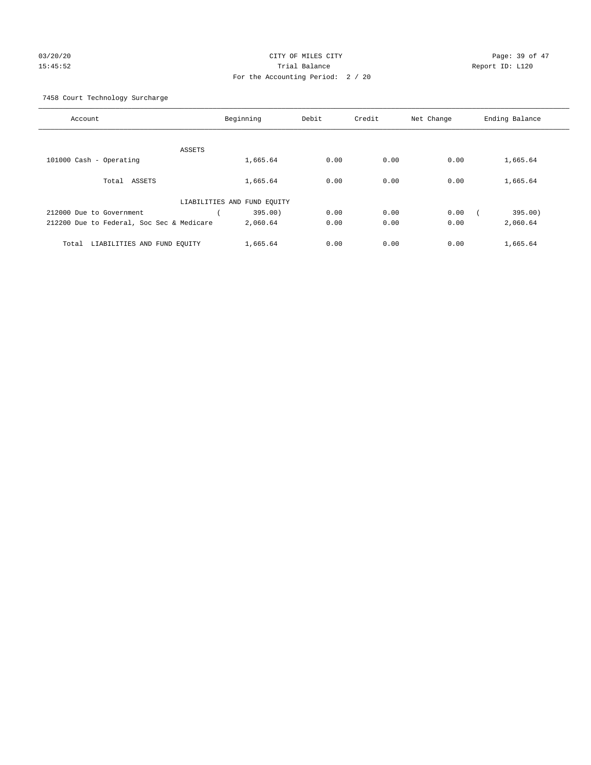# 03/20/20 **CITY OF MILES CITY CONSUMING THE CONSUMING PAGE:** 39 of 47 15:45:52 Trial Balance Report ID: L120 For the Accounting Period: 2 / 20

7458 Court Technology Surcharge

| Account                                   | Beginning                   | Debit | Credit | Net Change | Ending Balance |
|-------------------------------------------|-----------------------------|-------|--------|------------|----------------|
|                                           |                             |       |        |            |                |
|                                           | ASSETS                      |       |        |            |                |
| 101000 Cash - Operating                   | 1,665.64                    | 0.00  | 0.00   | 0.00       | 1,665.64       |
|                                           |                             |       |        |            |                |
| Total ASSETS                              | 1,665.64                    | 0.00  | 0.00   | 0.00       | 1,665.64       |
|                                           |                             |       |        |            |                |
|                                           | LIABILITIES AND FUND EQUITY |       |        |            |                |
| 212000 Due to Government                  | 395.00)                     | 0.00  | 0.00   | 0.00       | 395.00)        |
| 212200 Due to Federal, Soc Sec & Medicare | 2,060.64                    | 0.00  | 0.00   | 0.00       | 2,060.64       |
|                                           |                             |       |        |            |                |
|                                           |                             |       |        |            |                |
| LIABILITIES AND FUND EQUITY<br>Total      | 1,665.64                    | 0.00  | 0.00   | 0.00       | 1,665.64       |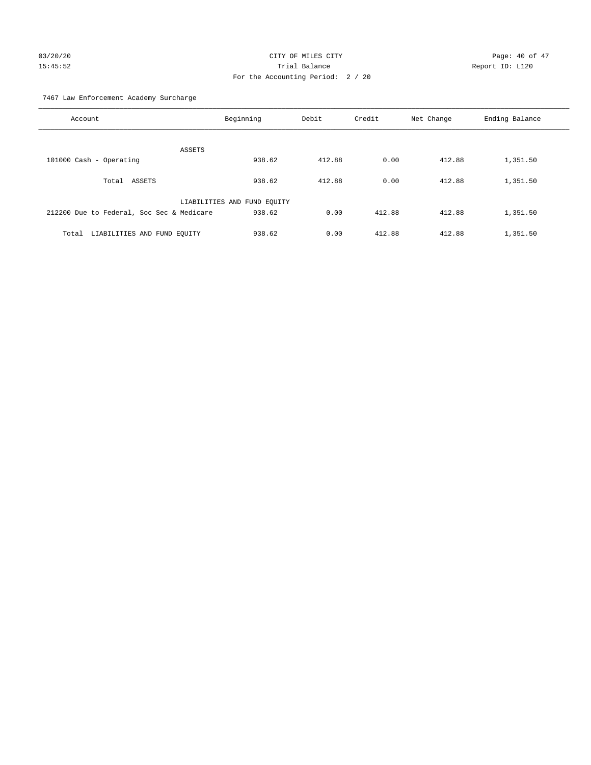# 03/20/20 Page: 40 of 47 15:45:52 Trial Balance Report ID: L120 For the Accounting Period: 2 / 20

7467 Law Enforcement Academy Surcharge

| Account                                   | Beginning                   | Debit  | Credit | Net Change | Ending Balance |
|-------------------------------------------|-----------------------------|--------|--------|------------|----------------|
| ASSETS                                    |                             |        |        |            |                |
| 101000 Cash - Operating                   | 938.62                      | 412.88 | 0.00   | 412.88     | 1,351.50       |
| Total ASSETS                              | 938.62                      | 412.88 | 0.00   | 412.88     | 1,351.50       |
|                                           | LIABILITIES AND FUND EQUITY |        |        |            |                |
| 212200 Due to Federal, Soc Sec & Medicare | 938.62                      | 0.00   | 412.88 | 412.88     | 1,351.50       |
| LIABILITIES AND FUND EQUITY<br>Total      | 938.62                      | 0.00   | 412.88 | 412.88     | 1,351.50       |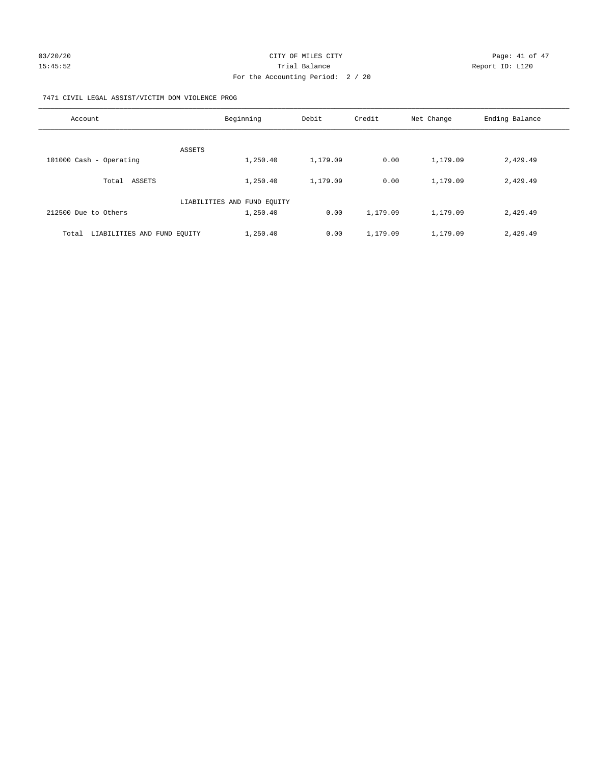#### 7471 CIVIL LEGAL ASSIST/VICTIM DOM VIOLENCE PROG

| Account                              | Beginning                   | Debit    | Credit   | Net Change | Ending Balance |
|--------------------------------------|-----------------------------|----------|----------|------------|----------------|
| <b>ASSETS</b>                        |                             |          |          |            |                |
| 101000 Cash - Operating              | 1,250.40                    | 1,179.09 | 0.00     | 1,179.09   | 2,429.49       |
| ASSETS<br>Total                      | 1,250.40                    | 1,179.09 | 0.00     | 1,179.09   | 2,429.49       |
|                                      | LIABILITIES AND FUND EQUITY |          |          |            |                |
| 212500 Due to Others                 | 1,250.40                    | 0.00     | 1,179.09 | 1,179.09   | 2,429.49       |
| LIABILITIES AND FUND EQUITY<br>Total | 1,250.40                    | 0.00     | 1,179.09 | 1,179.09   | 2,429.49       |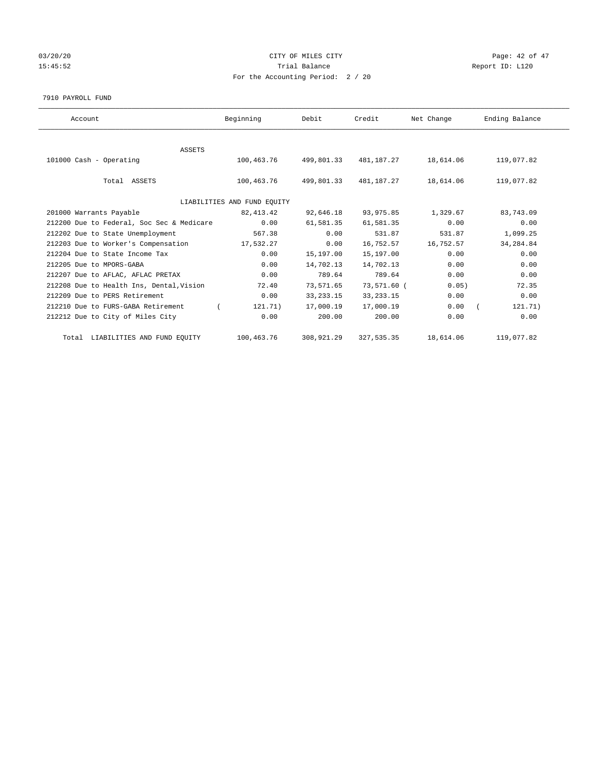# 03/20/20 Page: 42 of 47 15:45:52 Trial Balance Trial Balance Report ID: L120 For the Accounting Period: 2 / 20

7910 PAYROLL FUND

| Account                                   | Beginning                   | Debit       | Credit      | Net Change | Ending Balance |
|-------------------------------------------|-----------------------------|-------------|-------------|------------|----------------|
|                                           |                             |             |             |            |                |
| <b>ASSETS</b><br>101000 Cash - Operating  | 100,463.76                  | 499,801.33  | 481,187.27  | 18,614.06  | 119,077.82     |
| Total ASSETS                              | 100,463.76                  | 499,801.33  | 481,187.27  | 18,614.06  | 119,077.82     |
|                                           | LIABILITIES AND FUND EQUITY |             |             |            |                |
| 201000 Warrants Payable                   | 82, 413. 42                 | 92,646.18   | 93, 975.85  | 1,329.67   | 83,743.09      |
| 212200 Due to Federal, Soc Sec & Medicare | 0.00                        | 61,581.35   | 61,581.35   | 0.00       | 0.00           |
| 212202 Due to State Unemployment          | 567.38                      | 0.00        | 531.87      | 531.87     | 1,099.25       |
| 212203 Due to Worker's Compensation       | 17,532.27                   | 0.00        | 16,752.57   | 16,752.57  | 34, 284.84     |
| 212204 Due to State Income Tax            | 0.00                        | 15,197.00   | 15,197.00   | 0.00       | 0.00           |
| 212205 Due to MPORS-GABA                  | 0.00                        | 14,702.13   | 14,702.13   | 0.00       | 0.00           |
| 212207 Due to AFLAC, AFLAC PRETAX         | 0.00                        | 789.64      | 789.64      | 0.00       | 0.00           |
| 212208 Due to Health Ins, Dental, Vision  | 72.40                       | 73,571.65   | 73,571.60 ( | 0.05)      | 72.35          |
| 212209 Due to PERS Retirement             | 0.00                        | 33, 233. 15 | 33, 233. 15 | 0.00       | 0.00           |
| 212210 Due to FURS-GABA Retirement        | 121.71)                     | 17,000.19   | 17,000.19   | 0.00       | 121.71)        |
| 212212 Due to City of Miles City          | 0.00                        | 200.00      | 200.00      | 0.00       | 0.00           |
| Total LIABILITIES AND FUND EQUITY         | 100,463.76                  | 308,921.29  | 327, 535.35 | 18,614.06  | 119,077.82     |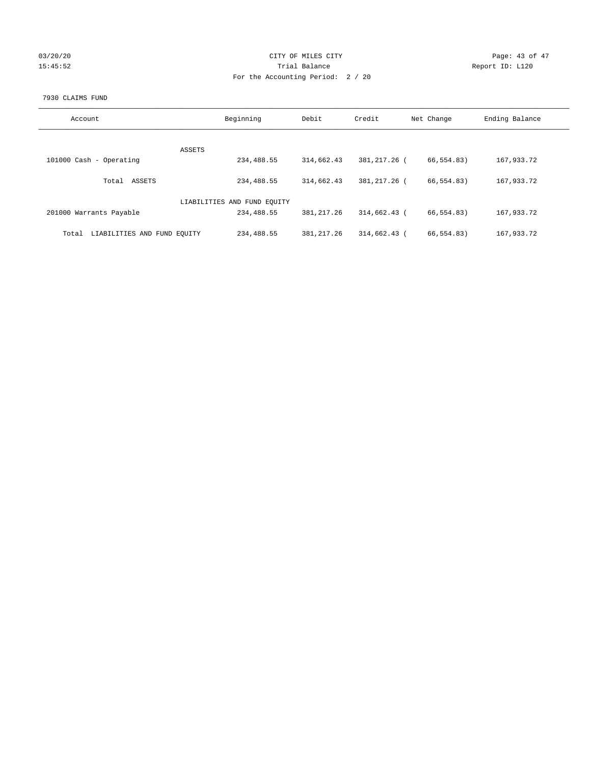| 03/20/20 |  |
|----------|--|
| 15:45:52 |  |

# CITY OF MILES CITY Page: 43 of 47<br>Trial Balance Report ID: L120 15:45:52 Trial Balance Report ID: L120 For the Accounting Period: 2 / 20

#### 7930 CLAIMS FUND

| Account                              | Beginning                   | Debit        | Credit       | Net Change | Ending Balance |
|--------------------------------------|-----------------------------|--------------|--------------|------------|----------------|
| <b>ASSETS</b>                        |                             |              |              |            |                |
| 101000 Cash - Operating              | 234,488.55                  | 314,662.43   | 381,217.26 ( | 66,554.83) | 167,933.72     |
| ASSETS<br>Total                      | 234,488.55                  | 314,662.43   | 381,217.26 ( | 66,554.83) | 167,933.72     |
|                                      | LIABILITIES AND FUND EQUITY |              |              |            |                |
| 201000 Warrants Payable              | 234,488.55                  | 381, 217, 26 | 314,662.43 ( | 66,554.83) | 167,933.72     |
| LIABILITIES AND FUND EQUITY<br>Total | 234,488.55                  | 381, 217.26  | 314,662.43 ( | 66,554.83) | 167,933.72     |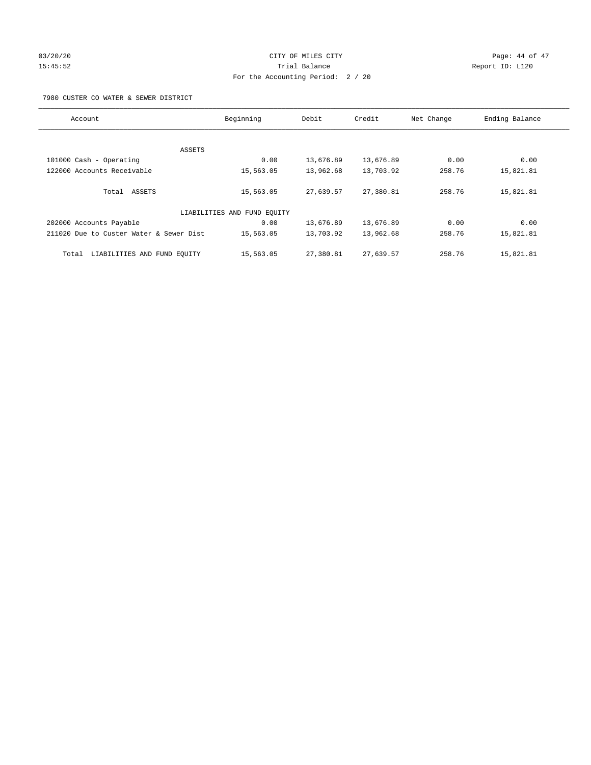# 03/20/20 Page: 44 of 47 15:45:52 Trial Balance Report ID: L120 For the Accounting Period: 2 / 20

7980 CUSTER CO WATER & SEWER DISTRICT

| Account                                 | Beginning                   | Debit     | Credit    | Net Change | Ending Balance |
|-----------------------------------------|-----------------------------|-----------|-----------|------------|----------------|
|                                         |                             |           |           |            |                |
| ASSETS                                  |                             |           |           |            |                |
| 101000 Cash - Operating                 | 0.00                        | 13,676.89 | 13,676.89 | 0.00       | 0.00           |
| 122000 Accounts Receivable              | 15,563.05                   | 13,962.68 | 13,703.92 | 258.76     | 15,821.81      |
| Total ASSETS                            | 15,563.05                   | 27,639.57 | 27,380.81 | 258.76     | 15,821.81      |
|                                         | LIABILITIES AND FUND EQUITY |           |           |            |                |
| 202000 Accounts Payable                 | 0.00                        | 13,676.89 | 13,676.89 | 0.00       | 0.00           |
| 211020 Due to Custer Water & Sewer Dist | 15,563.05                   | 13,703.92 | 13,962.68 | 258.76     | 15,821.81      |
| LIABILITIES AND FUND EQUITY<br>Total    | 15,563.05                   | 27,380.81 | 27,639.57 | 258.76     | 15,821.81      |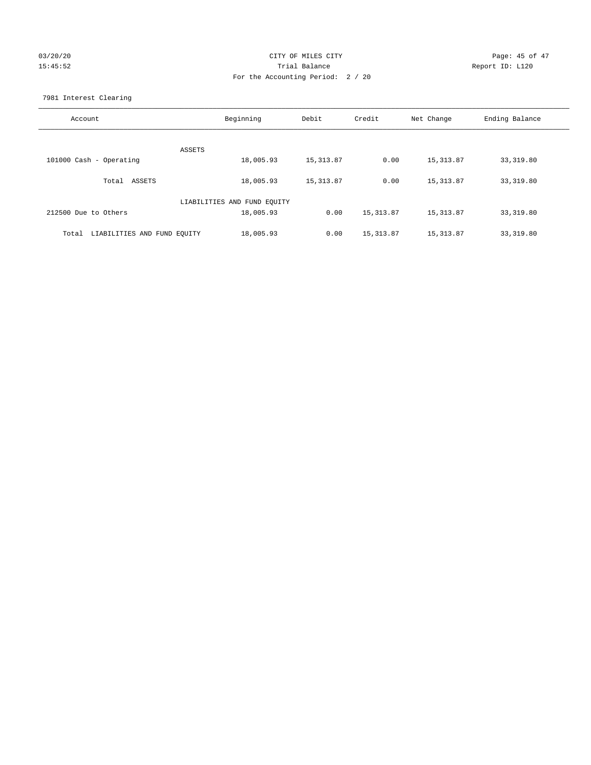# 03/20/20 **Page: 45 of 47** CITY OF MILES CITY **CITY** CHILES CITY 15:45:52 Trial Balance Report ID: L120 For the Accounting Period: 2 / 20

7981 Interest Clearing

| Account                              | Beginning                   | Debit      | Credit     | Net Change | Ending Balance |
|--------------------------------------|-----------------------------|------------|------------|------------|----------------|
|                                      | ASSETS                      |            |            |            |                |
| 101000 Cash - Operating              | 18,005.93                   | 15, 313.87 | 0.00       | 15, 313.87 | 33,319.80      |
| Total ASSETS                         | 18,005.93                   | 15, 313.87 | 0.00       | 15, 313.87 | 33,319.80      |
|                                      | LIABILITIES AND FUND EQUITY |            |            |            |                |
| 212500 Due to Others                 | 18,005.93                   | 0.00       | 15, 313.87 | 15, 313.87 | 33,319.80      |
| LIABILITIES AND FUND EQUITY<br>Total | 18,005.93                   | 0.00       | 15, 313.87 | 15, 313.87 | 33,319.80      |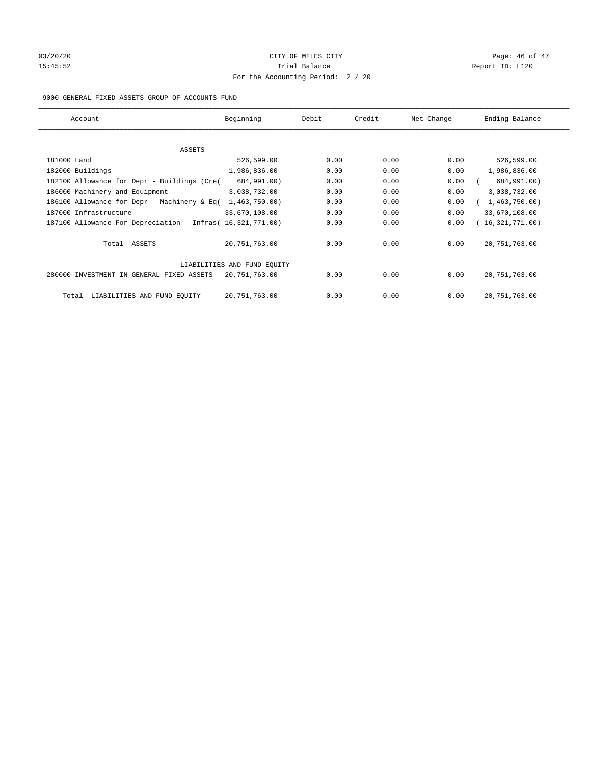# 03/20/20 **Page: 46 of 47** CITY OF MILES CITY **Page: 46 of 47** 15:45:52 Trial Balance Trial Balance Report ID: L120 For the Accounting Period: 2 / 20

#### 9000 GENERAL FIXED ASSETS GROUP OF ACCOUNTS FUND

| Account                                                    | Beginning                   | Debit | Credit | Net Change | Ending Balance  |
|------------------------------------------------------------|-----------------------------|-------|--------|------------|-----------------|
| ASSETS                                                     |                             |       |        |            |                 |
| 181000 Land                                                | 526,599.00                  | 0.00  | 0.00   | 0.00       | 526,599.00      |
| 182000 Buildings                                           | 1,986,836.00                | 0.00  | 0.00   | 0.00       | 1,986,836.00    |
| 182100 Allowance for Depr - Buildings (Cre(                | 684,991.00)                 | 0.00  | 0.00   | 0.00       | 684,991.00)     |
| 186000 Machinery and Equipment                             | 3,038,732.00                | 0.00  | 0.00   | 0.00       | 3,038,732.00    |
| 186100 Allowance for Depr - Machinery & Eq(                | 1,463,750.00)               | 0.00  | 0.00   | 0.00       | 1,463,750.00)   |
| 187000 Infrastructure                                      | 33,670,108.00               | 0.00  | 0.00   | 0.00       | 33,670,108.00   |
| 187100 Allowance For Depreciation - Infras( 16,321,771.00) |                             | 0.00  | 0.00   | 0.00       | 16,321,771.00)  |
| Total ASSETS                                               | 20,751,763.00               | 0.00  | 0.00   | 0.00       | 20, 751, 763.00 |
|                                                            | LIABILITIES AND FUND EQUITY |       |        |            |                 |
| 280000 INVESTMENT IN GENERAL FIXED ASSETS                  | 20,751,763.00               | 0.00  | 0.00   | 0.00       | 20, 751, 763.00 |
| LIABILITIES AND FUND EQUITY<br>Total                       | 20,751,763.00               | 0.00  | 0.00   | 0.00       | 20, 751, 763.00 |